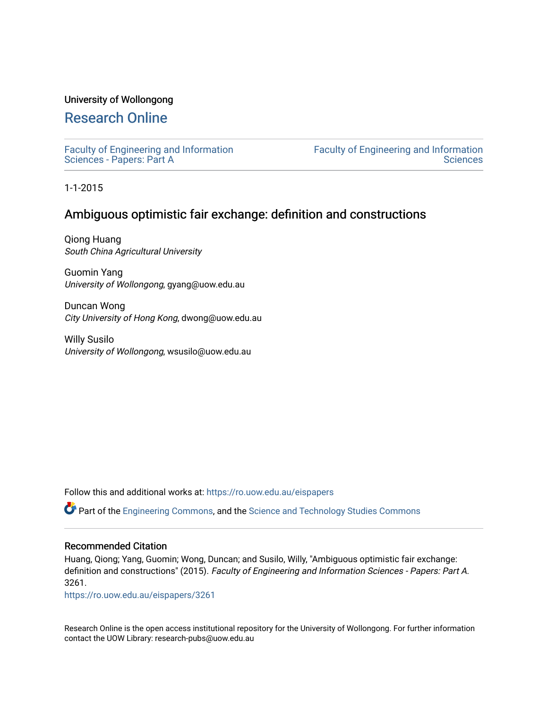# University of Wollongong

# [Research Online](https://ro.uow.edu.au/)

[Faculty of Engineering and Information](https://ro.uow.edu.au/eispapers)  [Sciences - Papers: Part A](https://ro.uow.edu.au/eispapers) 

[Faculty of Engineering and Information](https://ro.uow.edu.au/eis)  **Sciences** 

1-1-2015

# Ambiguous optimistic fair exchange: definition and constructions

Qiong Huang South China Agricultural University

Guomin Yang University of Wollongong, gyang@uow.edu.au

Duncan Wong City University of Hong Kong, dwong@uow.edu.au

Willy Susilo University of Wollongong, wsusilo@uow.edu.au

Follow this and additional works at: [https://ro.uow.edu.au/eispapers](https://ro.uow.edu.au/eispapers?utm_source=ro.uow.edu.au%2Feispapers%2F3261&utm_medium=PDF&utm_campaign=PDFCoverPages)

Part of the [Engineering Commons](http://network.bepress.com/hgg/discipline/217?utm_source=ro.uow.edu.au%2Feispapers%2F3261&utm_medium=PDF&utm_campaign=PDFCoverPages), and the [Science and Technology Studies Commons](http://network.bepress.com/hgg/discipline/435?utm_source=ro.uow.edu.au%2Feispapers%2F3261&utm_medium=PDF&utm_campaign=PDFCoverPages)

## Recommended Citation

Huang, Qiong; Yang, Guomin; Wong, Duncan; and Susilo, Willy, "Ambiguous optimistic fair exchange: definition and constructions" (2015). Faculty of Engineering and Information Sciences - Papers: Part A. 3261.

[https://ro.uow.edu.au/eispapers/3261](https://ro.uow.edu.au/eispapers/3261?utm_source=ro.uow.edu.au%2Feispapers%2F3261&utm_medium=PDF&utm_campaign=PDFCoverPages) 

Research Online is the open access institutional repository for the University of Wollongong. For further information contact the UOW Library: research-pubs@uow.edu.au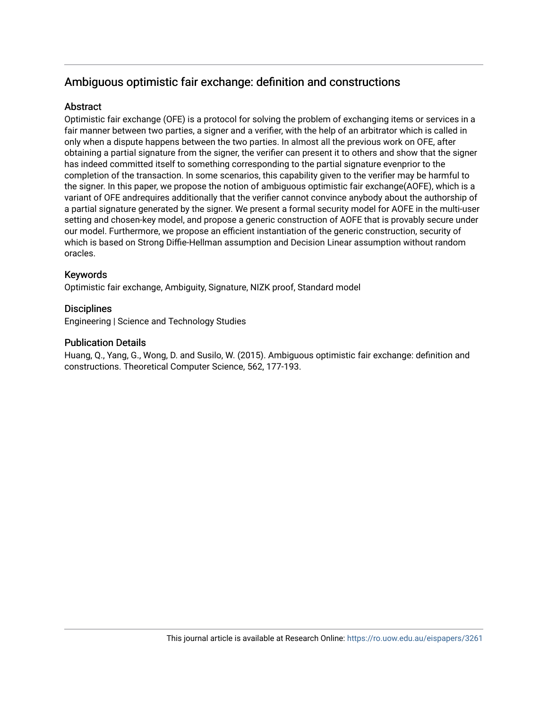# Ambiguous optimistic fair exchange: definition and constructions

# **Abstract**

Optimistic fair exchange (OFE) is a protocol for solving the problem of exchanging items or services in a fair manner between two parties, a signer and a verifier, with the help of an arbitrator which is called in only when a dispute happens between the two parties. In almost all the previous work on OFE, after obtaining a partial signature from the signer, the verifier can present it to others and show that the signer has indeed committed itself to something corresponding to the partial signature evenprior to the completion of the transaction. In some scenarios, this capability given to the verifier may be harmful to the signer. In this paper, we propose the notion of ambiguous optimistic fair exchange(AOFE), which is a variant of OFE andrequires additionally that the verifier cannot convince anybody about the authorship of a partial signature generated by the signer. We present a formal security model for AOFE in the multi-user setting and chosen-key model, and propose a generic construction of AOFE that is provably secure under our model. Furthermore, we propose an efficient instantiation of the generic construction, security of which is based on Strong Diffie-Hellman assumption and Decision Linear assumption without random oracles.

# Keywords

Optimistic fair exchange, Ambiguity, Signature, NIZK proof, Standard model

# **Disciplines**

Engineering | Science and Technology Studies

# Publication Details

Huang, Q., Yang, G., Wong, D. and Susilo, W. (2015). Ambiguous optimistic fair exchange: definition and constructions. Theoretical Computer Science, 562, 177-193.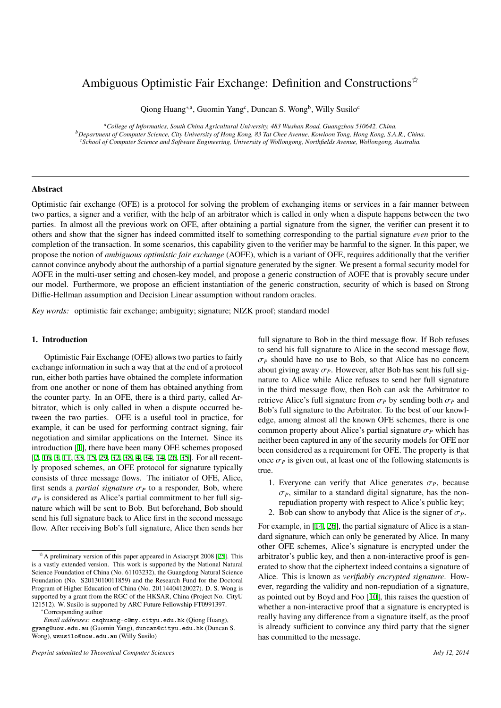# Ambiguous Optimistic Fair Exchange: Definition and Constructions $\mathbf{\hat{z}}$

Qiong Huang<sup>∗,a</sup>, Guomin Yang<sup>c</sup>, Duncan S. Wong<sup>b</sup>, Willy Susilo<sup>c</sup>

*<sup>a</sup>College of Informatics, South China Agricultural University, 483 Wushan Road, Guangzhou 510642, China. <sup>b</sup>Department of Computer Science, City University of Hong Kong, 83 Tat Chee Avenue, Kowloon Tong, Hong Kong, S.A.R., China. <sup>c</sup>School of Computer Science and Software Engineering, University of Wollongong, Northfields Avenue, Wollongong, Australia.*

### Abstract

Optimistic fair exchange (OFE) is a protocol for solving the problem of exchanging items or services in a fair manner between two parties, a signer and a verifier, with the help of an arbitrator which is called in only when a dispute happens between the two parties. In almost all the previous work on OFE, after obtaining a partial signature from the signer, the verifier can present it to others and show that the signer has indeed committed itself to something corresponding to the partial signature *even* prior to the completion of the transaction. In some scenarios, this capability given to the verifier may be harmful to the signer. In this paper, we propose the notion of *ambiguous optimistic fair exchange* (AOFE), which is a variant of OFE, requires additionally that the verifier cannot convince anybody about the authorship of a partial signature generated by the signer. We present a formal security model for AOFE in the multi-user setting and chosen-key model, and propose a generic construction of AOFE that is provably secure under our model. Furthermore, we propose an efficient instantiation of the generic construction, security of which is based on Strong Diffie-Hellman assumption and Decision Linear assumption without random oracles.

*Key words:* optimistic fair exchange; ambiguity; signature; NIZK proof; standard model

#### 1. Introduction

Optimistic Fair Exchange (OFE) allows two parties to fairly exchange information in such a way that at the end of a protocol run, either both parties have obtained the complete information from one another or none of them has obtained anything from the counter party. In an OFE, there is a third party, called Arbitrator, which is only called in when a dispute occurred between the two parties. OFE is a useful tool in practice, for example, it can be used for performing contract signing, fair negotiation and similar applications on the Internet. Since its introduction [\[1](#page-16-0)], there have been many OFE schemes proposed [[2,](#page-16-1) [16](#page-16-2), [3,](#page-16-3) [11](#page-16-4), [33,](#page-16-5) [15](#page-16-6), [29,](#page-16-7) [32](#page-16-8), [38,](#page-16-9) [4](#page-16-10), [34](#page-16-11), [14,](#page-16-12) [26](#page-16-13), [35\]](#page-16-14). For all recently proposed schemes, an OFE protocol for signature typically consists of three message flows. The initiator of OFE, Alice, first sends a *partial signature*  $\sigma_P$  to a responder, Bob, where  $\sigma_P$  is considered as Alice's partial commitment to her full signature which will be sent to Bob. But beforehand, Bob should send his full signature back to Alice first in the second message flow. After receiving Bob's full signature, Alice then sends her

full signature to Bob in the third message flow. If Bob refuses to send his full signature to Alice in the second message flow,  $\sigma_P$  should have no use to Bob, so that Alice has no concern about giving away  $\sigma_P$ . However, after Bob has sent his full signature to Alice while Alice refuses to send her full signature in the third message flow, then Bob can ask the Arbitrator to retrieve Alice's full signature from  $\sigma_P$  by sending both  $\sigma_P$  and Bob's full signature to the Arbitrator. To the best of our knowledge, among almost all the known OFE schemes, there is one common property about Alice's partial signature  $\sigma_p$  which has neither been captured in any of the security models for OFE nor been considered as a requirement for OFE. The property is that once  $\sigma_p$  is given out, at least one of the following statements is true.

- 1. Everyone can verify that Alice generates  $\sigma_P$ , because  $\sigma_P$ , similar to a standard digital signature, has the nonrepudiation property with respect to Alice's public key;
- 2. Bob can show to anybody that Alice is the signer of  $\sigma_p$ .

For example, in [\[14](#page-16-12), [26](#page-16-13)], the partial signature of Alice is a standard signature, which can only be generated by Alice. In many other OFE schemes, Alice's signature is encrypted under the arbitrator's public key, and then a non-interactive proof is generated to show that the ciphertext indeed contains a signature of Alice. This is known as *verifiably encrypted signature*. However, regarding the validity and non-repudiation of a signature, as pointed out by Boyd and Foo [[10\]](#page-16-16), this raises the question of whether a non-interactive proof that a signature is encrypted is really having any difference from a signature itself, as the proof is already sufficient to convince any third party that the signer has committed to the message.

 $*$ A preliminary version of this paper appeared in Asiacrypt 2008 [\[25](#page-16-15)]. This is a vastly extended version. This work is supported by the National Natural Science Foundation of China (No. 61103232), the Guangdong Natural Science Foundation (No. S2013010011859) and the Research Fund for the Doctoral Program of Higher Education of China (No. 20114404120027). D. S. Wong is supported by a grant from the RGC of the HKSAR, China (Project No. CityU 121512). W. Susilo is supported by ARC Future Fellowship FT0991397.

<sup>∗</sup>Corresponding author

*Email addresses:* csqhuang-c@my.cityu.edu.hk (Qiong Huang), gyang@uow.edu.au (Guomin Yang), duncan@cityu.edu.hk (Duncan S. Wong), wsusilo@uow.edu.au (Willy Susilo)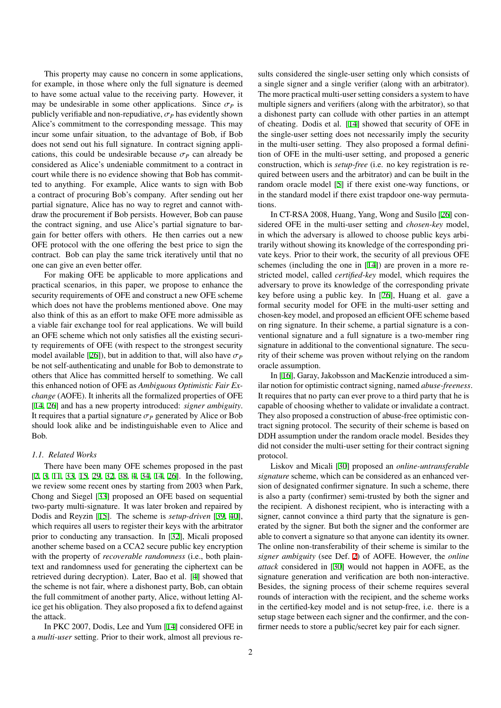This property may cause no concern in some applications, for example, in those where only the full signature is deemed to have some actual value to the receiving party. However, it may be undesirable in some other applications. Since  $\sigma_p$  is publicly verifiable and non-repudiative,  $\sigma_P$  has evidently shown Alice's commitment to the corresponding message. This may incur some unfair situation, to the advantage of Bob, if Bob does not send out his full signature. In contract signing applications, this could be undesirable because  $\sigma_p$  can already be considered as Alice's undeniable commitment to a contract in court while there is no evidence showing that Bob has committed to anything. For example, Alice wants to sign with Bob a contract of procuring Bob's company. After sending out her partial signature, Alice has no way to regret and cannot withdraw the procurement if Bob persists. However, Bob can pause the contract signing, and use Alice's partial signature to bargain for better offers with others. He then carries out a new OFE protocol with the one offering the best price to sign the contract. Bob can play the same trick iteratively until that no one can give an even better offer.

For making OFE be applicable to more applications and practical scenarios, in this paper, we propose to enhance the security requirements of OFE and construct a new OFE scheme which does not have the problems mentioned above. One may also think of this as an effort to make OFE more admissible as a viable fair exchange tool for real applications. We will build an OFE scheme which not only satisfies all the existing security requirements of OFE (with respect to the strongest security model available [[26](#page-16-13)]), but in addition to that, will also have  $\sigma_P$ be not self-authenticating and unable for Bob to demonstrate to others that Alice has committed herself to something. We call this enhanced notion of OFE as *Ambiguous Optimistic Fair Exchange* (AOFE). It inherits all the formalized properties of OFE [[14,](#page-16-12) [26](#page-16-13)] and has a new property introduced: *signer ambiguity*. It requires that a partial signature  $\sigma_p$  generated by Alice or Bob should look alike and be indistinguishable even to Alice and Bob.

#### *1.1. Related Works*

There have been many OFE schemes proposed in the past [[2,](#page-16-1) [3,](#page-16-3) [11](#page-16-4), [33](#page-16-5), [15,](#page-16-6) [29,](#page-16-7) [32](#page-16-8), [38](#page-16-9), [4](#page-16-10), [34,](#page-16-11) [14,](#page-16-12) [26](#page-16-13)]. In the following, we review some recent ones by starting from 2003 when Park, Chong and Siegel [[33\]](#page-16-5) proposed an OFE based on sequential two-party multi-signature. It was later broken and repaired by Dodis and Reyzin [\[15](#page-16-6)]. The scheme is *setup-driven* [\[39](#page-16-17), [40\]](#page-16-18), which requires all users to register their keys with the arbitrator prior to conducting any transaction. In [\[32](#page-16-8)], Micali proposed another scheme based on a CCA2 secure public key encryption with the property of *recoverable randomness* (i.e., both plaintext and randomness used for generating the ciphertext can be retrieved during decryption). Later, Bao et al. [\[4](#page-16-10)] showed that the scheme is not fair, where a dishonest party, Bob, can obtain the full commitment of another party, Alice, without letting Alice get his obligation. They also proposed a fix to defend against the attack.

In PKC 2007, Dodis, Lee and Yum [\[14](#page-16-12)] considered OFE in a *multi-user* setting. Prior to their work, almost all previous re-

sults considered the single-user setting only which consists of a single signer and a single verifier (along with an arbitrator). The more practical multi-user setting considers a system to have multiple signers and verifiers (along with the arbitrator), so that a dishonest party can collude with other parties in an attempt of cheating. Dodis et al. [\[14](#page-16-12)] showed that security of OFE in the single-user setting does not necessarily imply the security in the multi-user setting. They also proposed a formal definition of OFE in the multi-user setting, and proposed a generic construction, which is *setup-free* (i.e. no key registration is required between users and the arbitrator) and can be built in the random oracle model [[5](#page-16-19)] if there exist one-way functions, or in the standard model if there exist trapdoor one-way permutations.

In CT-RSA 2008, Huang, Yang, Wong and Susilo [\[26](#page-16-13)] considered OFE in the multi-user setting and *chosen-key* model, in which the adversary is allowed to choose public keys arbitrarily without showing its knowledge of the corresponding private keys. Prior to their work, the security of all previous OFE schemes (including the one in [[14\]](#page-16-12)) are proven in a more restricted model, called *certified-key* model, which requires the adversary to prove its knowledge of the corresponding private key before using a public key. In [[26\]](#page-16-13), Huang et al. gave a formal security model for OFE in the multi-user setting and chosen-key model, and proposed an efficient OFE scheme based on ring signature. In their scheme, a partial signature is a conventional signature and a full signature is a two-member ring signature in additional to the conventional signature. The security of their scheme was proven without relying on the random oracle assumption.

In [\[16](#page-16-2)], Garay, Jakobsson and MacKenzie introduced a similar notion for optimistic contract signing, named *abuse-freeness*. It requires that no party can ever prove to a third party that he is capable of choosing whether to validate or invalidate a contract. They also proposed a construction of abuse-free optimistic contract signing protocol. The security of their scheme is based on DDH assumption under the random oracle model. Besides they did not consider the multi-user setting for their contract signing protocol.

Liskov and Micali [\[30](#page-16-20)] proposed an *online-untransferable signature* scheme, which can be considered as an enhanced version of designated confirmer signature. In such a scheme, there is also a party (confirmer) semi-trusted by both the signer and the recipient. A dishonest recipient, who is interacting with a signer, cannot convince a third party that the signature is generated by the signer. But both the signer and the conformer are able to convert a signature so that anyone can identity its owner. The online non-transferability of their scheme is similar to the *signer ambiguity* (see Def. [2](#page-6-0)) of AOFE. However, the *online attack* considered in [\[30](#page-16-20)] would not happen in AOFE, as the signature generation and verification are both non-interactive. Besides, the signing process of their scheme requires several rounds of interaction with the recipient, and the scheme works in the certified-key model and is not setup-free, i.e. there is a setup stage between each signer and the confirmer, and the confirmer needs to store a public/secret key pair for each signer.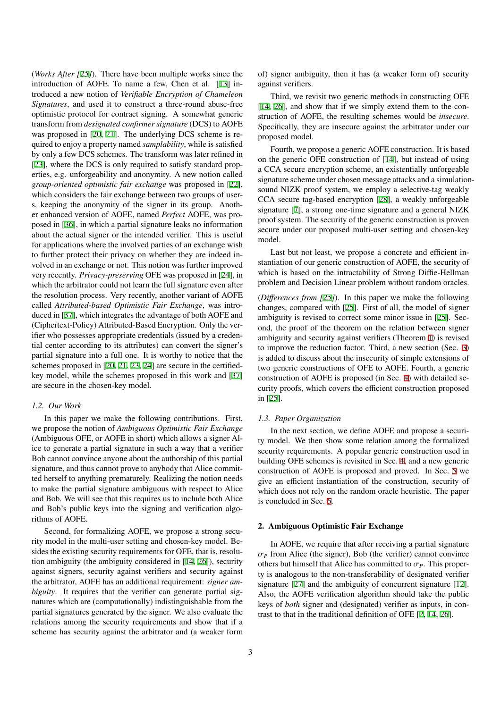(*Works After [\[25](#page-16-15)]*). There have been multiple works since the introduction of AOFE. To name a few, Chen et al. [\[13](#page-16-21)] introduced a new notion of *Verifiable Encryption of Chameleon Signatures*, and used it to construct a three-round abuse-free optimistic protocol for contract signing. A somewhat generic transform from *designated confirmer signature* (DCS) to AOFE was proposed in [\[20](#page-16-22), [21\]](#page-16-23). The underlying DCS scheme is required to enjoy a property named *samplability*, while is satisfied by only a few DCS schemes. The transform was later refined in [[23\]](#page-16-24), where the DCS is only required to satisfy standard properties, e.g. unforgeability and anonymity. A new notion called *group-oriented optimistic fair exchange* was proposed in [[22\]](#page-16-25), which considers the fair exchange between two groups of users, keeping the anonymity of the signer in its group. Another enhanced version of AOFE, named *Perfect* AOFE, was proposed in [[36\]](#page-16-26), in which a partial signature leaks no information about the actual signer or the intended verifier. This is useful for applications where the involved parties of an exchange wish to further protect their privacy on whether they are indeed involved in an exchange or not. This notion was further improved very recently. *Privacy-preserving* OFE was proposed in [[24\]](#page-16-27), in which the arbitrator could not learn the full signature even after the resolution process. Very recently, another variant of AOFE called *Attributed-based Optimistic Fair Exchange*, was introduced in [\[37](#page-16-28)], which integrates the advantage of both AOFE and (Ciphertext-Policy) Attributed-Based Encryption. Only the verifier who possesses appropriate credentials (issued by a credential center according to its attributes) can convert the signer's partial signature into a full one. It is worthy to notice that the schemes proposed in [[20,](#page-16-22) [21,](#page-16-23) [23](#page-16-24), [24](#page-16-27)] are secure in the certifiedkey model, while the schemes proposed in this work and [\[37](#page-16-28)] are secure in the chosen-key model.

### *1.2. Our Work*

In this paper we make the following contributions. First, we propose the notion of *Ambiguous Optimistic Fair Exchange* (Ambiguous OFE, or AOFE in short) which allows a signer Alice to generate a partial signature in such a way that a verifier Bob cannot convince anyone about the authorship of this partial signature, and thus cannot prove to anybody that Alice committed herself to anything prematurely. Realizing the notion needs to make the partial signature ambiguous with respect to Alice and Bob. We will see that this requires us to include both Alice and Bob's public keys into the signing and verification algorithms of AOFE.

Second, for formalizing AOFE, we propose a strong security model in the multi-user setting and chosen-key model. Besides the existing security requirements for OFE, that is, resolution ambiguity (the ambiguity considered in [\[14](#page-16-12), [26](#page-16-13)]), security against signers, security against verifiers and security against the arbitrator, AOFE has an additional requirement: *signer ambiguity*. It requires that the verifier can generate partial signatures which are (computationally) indistinguishable from the partial signatures generated by the signer. We also evaluate the relations among the security requirements and show that if a scheme has security against the arbitrator and (a weaker form

of) signer ambiguity, then it has (a weaker form of) security against verifiers.

Third, we revisit two generic methods in constructing OFE [[14,](#page-16-12) [26\]](#page-16-13), and show that if we simply extend them to the construction of AOFE, the resulting schemes would be *insecure*. Specifically, they are insecure against the arbitrator under our proposed model.

Fourth, we propose a generic AOFE construction. It is based on the generic OFE construction of [[14\]](#page-16-12), but instead of using a CCA secure encryption scheme, an existentially unforgeable signature scheme under chosen message attacks and a simulationsound NIZK proof system, we employ a selective-tag weakly CCA secure tag-based encryption [[28\]](#page-16-29), a weakly unforgeable signature [\[7](#page-16-30)], a strong one-time signature and a general NIZK proof system. The security of the generic construction is proven secure under our proposed multi-user setting and chosen-key model.

Last but not least, we propose a concrete and efficient instantiation of our generic construction of AOFE, the security of which is based on the intractability of Strong Diffie-Hellman problem and Decision Linear problem without random oracles.

(*Di*ff*erences from [\[25](#page-16-15)]*). In this paper we make the following changes, compared with [[25\]](#page-16-15). First of all, the model of signer ambiguity is revised to correct some minor issue in [[25\]](#page-16-15). Second, the proof of the theorem on the relation between signer ambiguity and security against verifiers (Theorem [1\)](#page-7-0) is revised to improve the reduction factor. Third, a new section (Sec. [3](#page-8-0)) is added to discuss about the insecurity of simple extensions of two generic constructions of OFE to AOFE. Fourth, a generic construction of AOFE is proposed (in Sec. [4](#page-9-0)) with detailed security proofs, which covers the efficient construction proposed in [\[25](#page-16-15)].

### *1.3. Paper Organization*

In the next section, we define AOFE and propose a security model. We then show some relation among the formalized security requirements. A popular generic construction used in building OFE schemes is revisited in Sec. [4](#page-9-0), and a new generic construction of AOFE is proposed and proved. In Sec. [5](#page-13-0) we give an efficient instantiation of the construction, security of which does not rely on the random oracle heuristic. The paper is concluded in Sec. [6.](#page-15-0)

#### 2. Ambiguous Optimistic Fair Exchange

In AOFE, we require that after receiving a partial signature  $\sigma_P$  from Alice (the signer), Bob (the verifier) cannot convince others but himself that Alice has committed to  $\sigma_P$ . This property is analogous to the non-transferability of designated verifier signature [[27](#page-16-31)] and the ambiguity of concurrent signature [[12\]](#page-16-32). Also, the AOFE verification algorithm should take the public keys of *both* signer and (designated) verifier as inputs, in contrast to that in the traditional definition of OFE [\[2](#page-16-1), [14](#page-16-12), [26](#page-16-13)].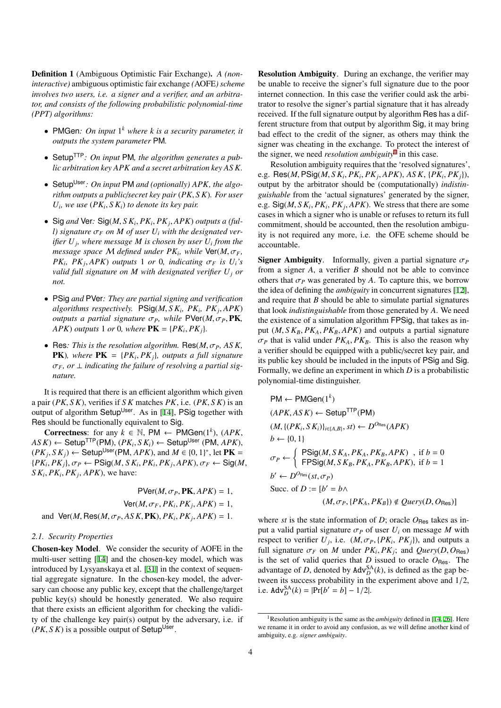Definition 1 (Ambiguous Optimistic Fair Exchange). *A (noninteractive)* ambiguous optimistic fair exchange *(*AOFE*) scheme involves two users, i.e. a signer and a verifier, and an arbitrator, and consists of the following probabilistic polynomial-time (PPT) algorithms:*

- PMGen*: On input* 1 *<sup>k</sup> where k is a security parameter, it outputs the system parameter* PM*.*
- SetupTTP*: On input* PM*, the algorithm generates a public arbitration key APK and a secret arbitration key AS K.*
- Setup<sup>User</sup>: On input PM and (optionally) APK, the algo*rithm outputs a public*/*secret key pair* (*PK*, *S K*)*. For user*  $U_i$ , we use  $(PK_i, SK_i)$  to denote its key pair.
- Sig *and* Ver*:* Sig(*M*, *S K<sup>i</sup>* , *PK<sup>i</sup>* , *PK<sup>j</sup>* , *APK*) *outputs a (full*) signature  $\sigma_F$  on M of user  $U_i$  with the designated ver*ifier U<sup>j</sup> , where message M is chosen by user U<sup>i</sup> from the message space*  $M$  *defined under*  $PK_i$ , while  $\textsf{Ver}(M, \sigma_F)$ *PK*<sub>i</sub>, *PK*<sub>j</sub>, *APK*) *outputs* 1 *or* 0, *indicating*  $\sigma_F$  *is*  $U_i$ *'s valid full signature on M with designated verifier U<sup>j</sup> or not.*
- PSig *and* PVer*: They are partial signing and verification algorithms respectively.* PSig(*M*, *S K<sup>i</sup> , PK<sup>i</sup> , PK<sup>j</sup>* , *APK*) *outputs a partial signature*  $\sigma_P$ *, while*  $\text{PVer}(M, \sigma_P, \text{PK}, \sigma_P)$ *APK* $)$  *outputs* 1 *or* 0*, where*  $\mathbf{PK} = \{PK_i, PK_j\}$ .
- Res: This is the resolution algorithm. Res $(M, \sigma_P, ASK,$ **PK**), where  $PK = {PK_i, PK_j}$ , outputs a full signature  $\sigma_F$ , or  $\perp$  *indicating the failure of resolving a partial signature.*

It is required that there is an efficient algorithm which given a pair (*PK*, *S K*), verifies if *S K* matches *PK*, i.e. (*PK*, *S K*) is an output of algorithm Setup<sup>User</sup>. As in [\[14](#page-16-12)], PSig together with Res should be functionally equivalent to Sig.

**Correctness:** for any  $k \in \mathbb{N}$ , PM ← PMGen(1<sup>k</sup>), (APK,  $AS K$ ) ← Setup<sup>TTP</sup>(PM), ( $PK_i, SK_i$ ) ← Setup<sup>User</sup> (PM,  $APK$ ),  $(PK_j, SK_j)$  ← Setup<sup>User</sup>(PM, *APK*), and  $M \in \{0, 1\}^*$ , let **PK** =  $\{PK_i, PK_j\}, \sigma_P \leftarrow \text{PSig}(M, SK_i, PK_i, PK_j, APK), \sigma_F \leftarrow \text{Sig}(M,$  $S K_i$ ,  $PK_i$ ,  $PK_j$ ,  $APK$ ), we have:

 $PVer(M, \sigma_P, PK, APK) = 1$ ,  $\mathsf{Ver}(M, \sigma_F, PK_i, PK_j, APK) = 1$ , and  $\text{Ver}(M, \text{Res}(M, \sigma_P, ASK, PK), PK_i, PK_j, APK) = 1.$ 

## <span id="page-5-1"></span>*2.1. Security Properties*

Chosen-key Model. We consider the security of AOFE in the multi-user setting [\[14](#page-16-12)] and the chosen-key model, which was introduced by Lysyanskaya et al. [[31\]](#page-16-33) in the context of sequential aggregate signature. In the chosen-key model, the adversary can choose any public key, except that the challenge/target public key(s) should be honestly generated. We also require that there exists an efficient algorithm for checking the validity of the challenge key pair(s) output by the adversary, i.e. if  $(PK, S K)$  is a possible output of Setup<sup>User</sup>.

Resolution Ambiguity. During an exchange, the verifier may be unable to receive the signer's full signature due to the poor internet connection. In this case the verifier could ask the arbitrator to resolve the signer's partial signature that it has already received. If the full signature output by algorithm Res has a different structure from that output by algorithm Sig, it may bring bad effect to the credit of the signer, as others may think the signer was cheating in the exchange. To protect the interest of the signer, we need *resolution ambiguity*<sup>[1](#page-5-0)</sup> in this case.

Resolution ambiguity requires that the 'resolved signatures', e.g. Res(*M*, PSig(*M*, *S K<sup>i</sup>* , *PK<sup>i</sup>* , *PK<sup>j</sup>* , *APK*), *AS K*, {*PK<sup>i</sup>* , *PKj*}), output by the arbitrator should be (computationally) *indistinguishable* from the 'actual signatures' generated by the signer, e.g.  $Sig(M, S K_i, PK_i, PK_j, APK)$ . We stress that there are some cases in which a signer who is unable or refuses to return its full commitment, should be accounted, then the resolution ambiguity is not required any more, i.e. the OFE scheme should be accountable.

**Signer Ambiguity.** Informally, given a partial signature  $\sigma_P$ from a signer *A*, a verifier *B* should not be able to convince others that  $\sigma_P$  was generated by *A*. To capture this, we borrow the idea of defining the *ambiguity* in concurrent signatures [[12\]](#page-16-32), and require that *B* should be able to simulate partial signatures that look *indistinguishable* from those generated by *A*. We need the existence of a simulation algorithm FPSig, that takes as input  $(M, S K_B, PK_A, PK_B, APK)$  and outputs a partial signature  $\sigma_P$  that is valid under  $PK_A$ ,  $PK_B$ . This is also the reason why a verifier should be equipped with a public/secret key pair, and its public key should be included in the inputs of PSig and Sig. Formally, we define an experiment in which *D* is a probabilistic polynomial-time distinguisher.

$$
PM \leftarrow PMGen(1^k)
$$
  
\n
$$
(APK, ASK) \leftarrow Setup^{TTP}(PM)
$$
  
\n
$$
(M, \{(PK_i, SK_i)\}_{i \in \{A, B\}}, st) \leftarrow D^{O_{\text{Res}}}(APK)
$$
  
\n
$$
b \leftarrow \{0, 1\}
$$
  
\n
$$
\sigma_P \leftarrow \left\{\begin{array}{l} \text{PSig}(M, SK_A, PK_A, PK_B, APK), \text{ if } b = 0\\ \text{FPSig}(M, SK_B, PK_A, PK_B, APK), \text{ if } b = 1 \end{array}\right.\right.
$$
  
\n
$$
b' \leftarrow D^{O_{\text{Res}}}(st, \sigma_P)
$$
  
\nSucc. of  $D := [b' = b \land$   
\n
$$
(M, \sigma_P, \{PK_A, PK_B\}) \notin Query(D, O_{\text{Res}})]
$$

where *st* is the state information of *D*; oracle  $O_{\text{Res}}$  takes as input a valid partial signature  $\sigma_P$  of user  $U_i$  on message M with respect to verifier  $U_j$ , i.e.  $(M, \sigma_P, {P K_i, P K_j})$ , and outputs a full signature  $\sigma_F$  on *M* under  $PK_i, PK_j$ ; and  $Query(D, O_{\text{Res}})$ is the set of valid queries that  $D$  issued to oracle  $O_{\text{Res}}$ . The advantage of *D*, denoted by  $\text{Adv}_{D}^{\text{SA}}(k)$ , is defined as the gap between its success probability in the experiment above and 1/2, i.e.  $\text{Adv}_{D}^{\text{SA}}(k) = |\text{Pr}[b' = b] - 1/2|$ .

<span id="page-5-0"></span><sup>1</sup>Resolution ambiguity is the same as the *ambiguity* defined in [[14,](#page-16-12) [26](#page-16-13)]. Here we rename it in order to avoid any confusion, as we will define another kind of ambiguity, e.g. *signer ambiguity*.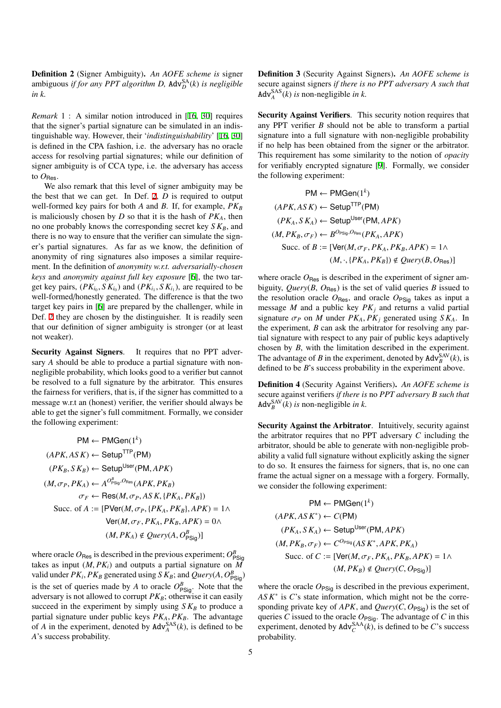<span id="page-6-0"></span>Definition 2 (Signer Ambiguity). *An AOFE scheme is* signer ambiguous *if for any PPT algorithm D, Adv* $_D^{\text{SA}}(k)$  *is negligible in k.*

*Remark* 1 : A similar notion introduced in [\[16](#page-16-2), [30](#page-16-20)] requires that the signer's partial signature can be simulated in an indistinguishable way. However, their '*indistinguishability*' [[16](#page-16-2), [30](#page-16-20)] is defined in the CPA fashion, i.e. the adversary has no oracle access for resolving partial signatures; while our definition of signer ambiguity is of CCA type, i.e. the adversary has access to  $O$ <sub>Res</sub>.

We also remark that this level of signer ambiguity may be the best that we can get. In Def. [2,](#page-6-0) *D* is required to output well-formed key pairs for both *A* and *B*. If, for example, *PK<sup>B</sup>* is maliciously chosen by *D* so that it is the hash of *PKA*, then no one probably knows the corresponding secret key *S KB*, and there is no way to ensure that the verifier can simulate the signer's partial signatures. As far as we know, the definition of anonymity of ring signatures also imposes a similar requirement. In the definition of *anonymity w.r.t. adversarially-chosen keys* and *anonymity against full key exposure* [\[6](#page-16-34)], the two target key pairs,  $(PK_{i_0}, SK_{i_0})$  and  $(PK_{i_1}, SK_{i_1})$ , are required to be well-formed/honestly generated. The difference is that the two target key pairs in [[6\]](#page-16-34) are prepared by the challenger, while in Def. [2](#page-6-0) they are chosen by the distinguisher. It is readily seen that our definition of signer ambiguity is stronger (or at least not weaker).

Security Against Signers. It requires that no PPT adversary *A* should be able to produce a partial signature with nonnegligible probability, which looks good to a verifier but cannot be resolved to a full signature by the arbitrator. This ensures the fairness for verifiers, that is, if the signer has committed to a message w.r.t an (honest) verifier, the verifier should always be able to get the signer's full commitment. Formally, we consider the following experiment:

$$
PM \leftarrow PMGen(1^{k})
$$
  
\n
$$
(APK, ASK) \leftarrow Setup^{TTP}(PM)
$$
  
\n
$$
(PK_B, SK_B) \leftarrow Setup^{User}(PM, APK)
$$
  
\n
$$
(M, \sigma_P, PK_A) \leftarrow A^{O_{PSig}^{B}, ORes}(APK, PK_B)
$$
  
\n
$$
\sigma_F \leftarrow Res(M, \sigma_P, ASK, \{PK_A, PK_B\})
$$
  
\nSucc. of  $A := [PVer(M, \sigma_P, \{PK_A, PK_B\}, APK) = 1 \land$   
\n
$$
Ver(M, \sigma_F, PK_A, PK_B, APK) = 0 \land
$$
  
\n
$$
(M, PK_A) \notin Query(A, O_{PSig}^{B})]
$$

where oracle  $O_{\text{Res}}$  is described in the previous experiment;  $O_{\text{PSig}}^B$ takes as input  $(M, PK<sub>i</sub>)$  and outputs a partial signature on  $\overline{M}$ valid under  $PK_i$ ,  $PK_B$  generated using  $SK_B$ ; and  $Query(A, O_{\text{PSig}}^B)$ is the set of queries made by *A* to oracle  $O_{PSig}^B$ . Note that the adversary is not allowed to corrupt  $PK_B$ ; otherwise it can easily succeed in the experiment by simply using  $S K_B$  to produce a partial signature under public keys  $PK_A$ ,  $PK_B$ . The advantage of *A* in the experiment, denoted by  $\text{Adv}_{A}^{\text{SAS}}(k)$ , is defined to be *A*'s success probability.

Definition 3 (Security Against Signers). *An AOFE scheme is* secure against signers *if there is no PPT adversary A such that* Adv $_{A}^{SAS}(k)$  *is* non-negligible *in k*.

Security Against Verifiers. This security notion requires that any PPT verifier *B* should not be able to transform a partial signature into a full signature with non-negligible probability if no help has been obtained from the signer or the arbitrator. This requirement has some similarity to the notion of *opacity* for verifiably encrypted signature [[9\]](#page-16-35). Formally, we consider the following experiment:

$$
PM \leftarrow PMGen(1^{k})
$$
  
\n
$$
(APK, ASK) \leftarrow Setup^{TTP}(PM)
$$
  
\n
$$
(PK_A, SK_A) \leftarrow Setup^{User}(PM, APK)
$$
  
\n
$$
(M, PK_B, \sigma_F) \leftarrow B^{O_{PSlg}, O_{Res}}(PK_A, APK)
$$
  
\n
$$
Succ. of B := [Ver(M, \sigma_F, PK_A, PK_B, APK) = 1 \land
$$
  
\n
$$
(M, \cdot, {PK_A, PK_B}) \notin Query(B, O_{Res})]
$$

where oracle  $O_{\text{Res}}$  is described in the experiment of signer ambiguity, *Query*( $B$ ,  $O_{\text{Res}}$ ) is the set of valid queries  $B$  issued to the resolution oracle  $O_{\text{Res}}$ , and oracle  $O_{\text{PSig}}$  takes as input a message *M* and a public key *PK<sup>j</sup>* and returns a valid partial signature  $\sigma_P$  on *M* under  $PK_A, PK_i$  generated using  $SK_A$ . In the experiment, *B* can ask the arbitrator for resolving any partial signature with respect to any pair of public keys adaptively chosen by *B*, with the limitation described in the experiment. The advantage of *B* in the experiment, denoted by  $\text{Adv}_{B}^{\text{SAV}}(k)$ , is defined to be *B*'s success probability in the experiment above.

<span id="page-6-1"></span>Definition 4 (Security Against Verifiers). *An AOFE scheme is* secure against verifiers *if there is* no *PPT adversary B such that* Adv $_{B}^{\text{SAV}}(k)$  *is* non-negligible *in k*.

Security Against the Arbitrator. Intuitively, security against the arbitrator requires that no PPT adversary *C* including the arbitrator, should be able to generate with non-negligible probability a valid full signature without explicitly asking the signer to do so. It ensures the fairness for signers, that is, no one can frame the actual signer on a message with a forgery. Formally, we consider the following experiment:

$$
PM \leftarrow PMGen(1^k)
$$
  
\n
$$
(APK, AS K^*) \leftarrow C(PM)
$$
  
\n
$$
(PK_A, SK_A) \leftarrow Setup^{User}(PM, APK)
$$
  
\n
$$
(M, PK_B, \sigma_F) \leftarrow C^{O_{PSg}}(AS K^*, APK, PK_A)
$$
  
\nSucc. of  $C := [Ver(M, \sigma_F, PK_A, PK_B, APK) = 1 \land$   
\n
$$
(M, PK_B) \notin Query(C, O_{PSig})]
$$

where the oracle  $O_{PSiq}$  is described in the previous experiment, *AS K*<sup>∗</sup> is *C*'s state information, which might not be the corresponding private key of  $APK$ , and  $Query(C, O_{PSiq})$  is the set of queries *C* issued to the oracle  $O_{PSig}$ . The advantage of *C* in this experiment, denoted by  $\text{Adv}_{C}^{\text{SAA}}(k)$ , is defined to be *C*'s success probability.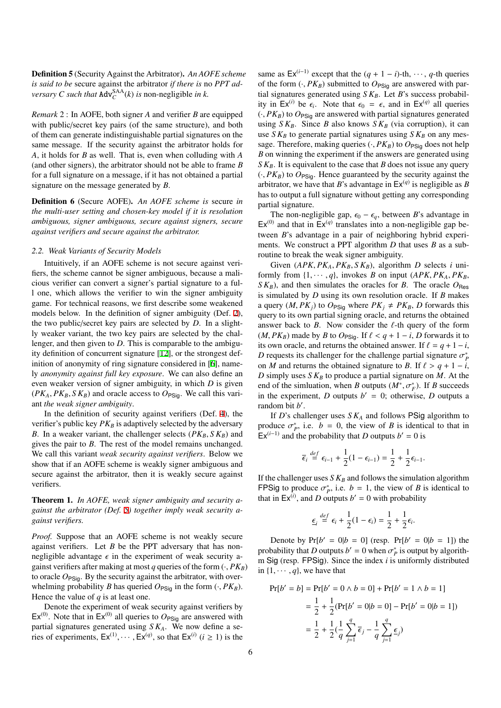<span id="page-7-1"></span>Definition 5 (Security Against the Arbitrator). *An AOFE scheme is said to be* secure against the arbitrator *if there is* no *PPT adversary C such that*  $Adv_C^{SAA}(k)$  *is* non-negligible *in k*.

*Remark* 2 : In AOFE, both signer *A* and verifier *B* are equipped with public/secret key pairs (of the same structure), and both of them can generate indistinguishable partial signatures on the same message. If the security against the arbitrator holds for *A*, it holds for *B* as well. That is, even when colluding with *A* (and other signers), the arbitrator should not be able to frame *B* for a full signature on a message, if it has not obtained a partial signature on the message generated by *B*.

Definition 6 (Secure AOFE). *An AOFE scheme is* secure *in the multi-user setting and chosen-key model if it is resolution ambiguous, signer ambiguous, secure against signers, secure against verifiers and secure against the arbitrator.*

#### *2.2. Weak Variants of Security Models*

Intuitively, if an AOFE scheme is not secure against verifiers, the scheme cannot be signer ambiguous, because a malicious verifier can convert a signer's partial signature to a full one, which allows the verifier to win the signer ambiguity game. For technical reasons, we first describe some weakened models below. In the definition of signer ambiguity (Def. [2\)](#page-6-0), the two public/secret key pairs are selected by *D*. In a slightly weaker variant, the two key pairs are selected by the challenger, and then given to *D*. This is comparable to the ambiguity definition of concurrent signature [\[12\]](#page-16-32), or the strongest def-inition of anonymity of ring signature considered in [\[6](#page-16-34)], namely *anonymity against full key exposure*. We can also define an even weaker version of signer ambiguity, in which *D* is given  $(PK_A, PK_B, SK_B)$  and oracle access to  $O_{PSiq}$ . We call this variant *the weak signer ambiguity*.

In the definition of security against verifiers (Def. [4\)](#page-6-1), the verifier's public key  $PK_B$  is adaptively selected by the adversary *B*. In a weaker variant, the challenger selects ( $PK_B$ ,  $SK_B$ ) and gives the pair to *B*. The rest of the model remains unchanged. We call this variant *weak security against verifiers*. Below we show that if an AOFE scheme is weakly signer ambiguous and secure against the arbitrator, then it is weakly secure against verifiers.

<span id="page-7-0"></span>Theorem 1. *In AOFE, weak signer ambiguity and security against the arbitrator (Def. [5\)](#page-7-1) together imply weak security against verifiers.*

*Proof.* Suppose that an AOFE scheme is not weakly secure against verifiers. Let *B* be the PPT adversary that has nonnegligible advantage  $\epsilon$  in the experiment of weak security against verifiers after making at most *q* queries of the form  $(\cdot, PK_B)$ to oracle  $O_{PSiq}$ . By the security against the arbitrator, with overwhelming probability *B* has queried  $O_{PSiq}$  in the form  $(\cdot, PK_B)$ . Hence the value of *q* is at least one.

Denote the experiment of weak security against verifiers by  $Ex^{(0)}$ . Note that in  $Ex^{(0)}$  all queries to  $O_{PSiq}$  are answered with partial signatures generated using *S KA*. We now define a series of experiments,  $Ex^{(1)}, \dots, Ex^{(q)}$ , so that  $Ex^{(i)}$  ( $i \ge 1$ ) is the

same as  $Ex^{(i-1)}$  except that the  $(q + 1 - i)$ -th,  $\cdots$ , *q*-th queries of the form  $(\cdot, PK_B)$  submitted to  $O_{PSiq}$  are answered with partial signatures generated using  $S K_B$ . Let *B*'s success probability in  $Ex^{(i)}$  be  $\epsilon_i$ . Note that  $\epsilon_0 = \epsilon$ , and in  $Ex^{(q)}$  all queries  $(\cdot, PK_B)$  to  $O_{PSiq}$  are answered with partial signatures generated using  $S K_B$ . Since *B* also knows  $S K_B$  (via corruption), it can use  $S K_B$  to generate partial signatures using  $S K_B$  on any message. Therefore, making queries  $(\cdot, PK_B)$  to  $O_{PSiq}$  does not help *B* on winning the experiment if the answers are generated using *SK<sub>B</sub>*. It is equivalent to the case that *B* does not issue any query  $(\cdot, PK_B)$  to  $O_{\text{PSig}}$ . Hence guaranteed by the security against the arbitrator, we have that *B*'s advantage in  $Ex^{(q)}$  is negligible as *B* has to output a full signature without getting any corresponding partial signature.

The non-negligible gap,  $\epsilon_0 - \epsilon_q$ , between *B*'s advantage in  $Ex^{(0)}$  and that in  $Ex^{(q)}$  translates into a non-negligible gap between *B*'s advantage in a pair of neighboring hybrid experiments. We construct a PPT algorithm *D* that uses *B* as a subroutine to break the weak signer ambiguity.

Given  $(APK, PK_A, PK_B, SK_B)$ , algorithm *D* selects *i* uniformly from  $\{1, \dots, q\}$ , invokes *B* on input  $\{APK, PK_A, PK_B,$  $S K_B$ , and then simulates the oracles for *B*. The oracle  $O_{\text{Res}}$ is simulated by *D* using its own resolution oracle. If *B* makes a query  $(M, PK<sub>i</sub>)$  to  $O_{PSiG}$  where  $PK<sub>i</sub> \neq PK<sub>B</sub>$ , *D* forwards this query to its own partial signing oracle, and returns the obtained answer back to  $B$ . Now consider the  $\ell$ -th query of the form (*M*,  $PK_B$ ) made by *B* to  $O_{PSiq}$ . If  $\ell < q + 1 - i$ , *D* forwards it to its own oracle, and returns the obtained answer. If  $\ell = q + 1 - i$ , *D* requests its challenger for the challenge partial signature  $\sigma_p^*$ on *M* and returns the obtained signature to *B*. If  $\ell > q + 1 - i$ , *D* simply uses  $SK_B$  to produce a partial signature on *M*. At the end of the simluation, when *B* outputs  $(M^*, \sigma_F^*)$ . If *B* succeeds in the experiment, *D* outputs  $b' = 0$ ; otherwise, *D* outputs a random bit *b'*.

If *D*'s challenger uses *S K<sup>A</sup>* and follows PSig algorithm to produce  $\sigma_p^*$ , i.e.  $b = 0$ , the view of *B* is identical to that in  $Ex^{(i-1)}$  and the probability that *D* outputs  $b' = 0$  is

$$
\overline{\epsilon}_i \stackrel{def}{=} \epsilon_{i-1} + \frac{1}{2}(1-\epsilon_{i-1}) = \frac{1}{2} + \frac{1}{2}\epsilon_{i-1}.
$$

If the challenger uses  $S K_B$  and follows the simulation algorithm **FPSig** to produce  $\sigma_p^*$ , i.e.  $b = 1$ , the view of *B* is identical to that in  $Ex^{(i)}$ , and *D* outputs  $b' = 0$  with probability

$$
\underline{\epsilon}_i \stackrel{def}{=} \epsilon_i + \frac{1}{2}(1-\epsilon_i) = \frac{1}{2} + \frac{1}{2}\epsilon_i.
$$

Denote by  $Pr[b' = 0|b = 0]$  (resp.  $Pr[b' = 0|b = 1]$ ) the probability that *D* outputs  $b' = 0$  when  $\sigma_p^*$  is output by algorithm Sig (resp. FPSig). Since the index *i* is uniformly distributed in  $\{1, \dots, q\}$ , we have that

$$
\Pr[b' = b] = \Pr[b' = 0 \land b = 0] + \Pr[b' = 1 \land b = 1]
$$

$$
= \frac{1}{2} + \frac{1}{2}(\Pr[b' = 0 | b = 0] - \Pr[b' = 0 | b = 1])
$$

$$
= \frac{1}{2} + \frac{1}{2}(\frac{1}{q} \sum_{j=1}^{q} \bar{\epsilon}_j - \frac{1}{q} \sum_{j=1}^{q} \underline{\epsilon}_j)
$$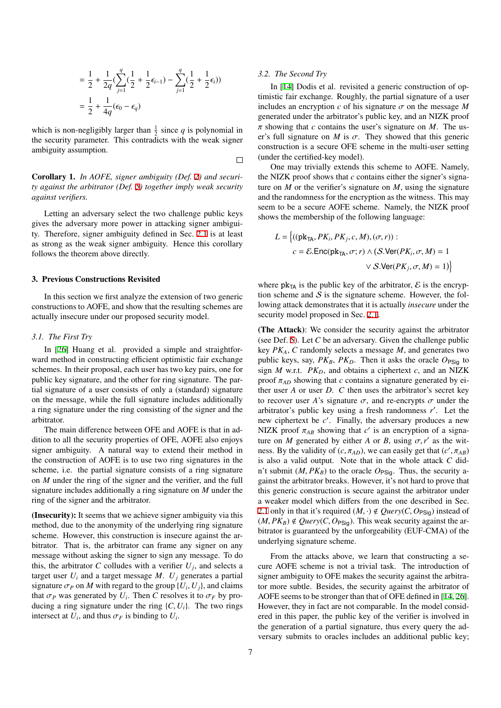$$
= \frac{1}{2} + \frac{1}{2q} \left( \sum_{j=1}^{q} \left( \frac{1}{2} + \frac{1}{2} \epsilon_{i-1} \right) - \sum_{j=1}^{q} \left( \frac{1}{2} + \frac{1}{2} \epsilon_{i} \right) \right)
$$

$$
= \frac{1}{2} + \frac{1}{4q} (\epsilon_{0} - \epsilon_{q})
$$

which is non-negligibly larger than  $\frac{1}{2}$  since *q* is polynomial in the security parameter. This contradicts with the weak signer ambiguity assumption.

Corollary 1. *In AOFE, signer ambiguity (Def. [2](#page-6-0)) and security against the arbitrator (Def. [5](#page-7-1)) together imply weak security against verifiers.*

Letting an adversary select the two challenge public keys gives the adversary more power in attacking signer ambiguity. Therefore, signer ambiguity defined in Sec. [2.1](#page-5-1) is at least as strong as the weak signer ambiguity. Hence this corollary follows the theorem above directly.

#### <span id="page-8-0"></span>3. Previous Constructions Revisited

In this section we first analyze the extension of two generic constructions to AOFE, and show that the resulting schemes are actually insecure under our proposed security model.

### *3.1. The First Try*

In [\[26](#page-16-13)] Huang et al. provided a simple and straightforward method in constructing efficient optimistic fair exchange schemes. In their proposal, each user has two key pairs, one for public key signature, and the other for ring signature. The partial signature of a user consists of only a (standard) signature on the message, while the full signature includes additionally a ring signature under the ring consisting of the signer and the arbitrator.

The main difference between OFE and AOFE is that in addition to all the security properties of OFE, AOFE also enjoys signer ambiguity. A natural way to extend their method in the construction of AOFE is to use two ring signatures in the scheme, i.e. the partial signature consists of a ring signature on *M* under the ring of the signer and the verifier, and the full signature includes additionally a ring signature on *M* under the ring of the signer and the arbitrator.

(Insecurity): It seems that we achieve signer ambiguity via this method, due to the anonymity of the underlying ring signature scheme. However, this construction is insecure against the arbitrator. That is, the arbitrator can frame any signer on any message without asking the signer to sign any message. To do this, the arbitrator *C* colludes with a verifier  $U_j$ , and selects a target user  $U_i$  and a target message  $M$ .  $U_j$  generates a partial signature  $\sigma_P$  on *M* with regard to the group  $\{U_i, U_j\}$ , and claims that  $\sigma_P$  was generated by  $U_i$ . Then *C* resolves it to  $\sigma_F$  by producing a ring signature under the ring  $\{C, U_i\}$ . The two rings intersect at  $U_i$ , and thus  $\sigma_F$  is binding to  $U_i$ .

#### *3.2. The Second Try*

 $\Box$ 

In [\[14](#page-16-12)] Dodis et al. revisited a generic construction of optimistic fair exchange. Roughly, the partial signature of a user includes an encryption  $c$  of his signature  $\sigma$  on the message M generated under the arbitrator's public key, and an NIZK proof π showing that *c* contains the user's signature on *M*. The user's full signature on *M* is  $\sigma$ . They showed that this generic construction is a secure OFE scheme in the multi-user setting (under the certified-key model).

One may trivially extends this scheme to AOFE. Namely, the NIZK proof shows that *c* contains either the signer's signature on  $M$  or the verifier's signature on  $M$ , using the signature and the randomness for the encryption as the witness. This may seem to be a secure AOFE scheme. Namely, the NIZK proof shows the membership of the following language:

$$
L = \left\{ ((pk_{TA}, PK_i, PK_j, c, M), (\sigma, r)) :
$$
  

$$
c = \mathcal{E}.Enc(\text{pk}_{TA}, \sigma; r) \land (\mathcal{S}.Ver(PK_i, \sigma, M) = 1)
$$
  

$$
\lor \mathcal{S}.Ver(PK_j, \sigma, M) = 1) \right\}
$$

where  $pk_{TA}$  is the public key of the arbitrator,  $\mathcal E$  is the encryption scheme and  $S$  is the signature scheme. However, the following attack demonstrates that it is actually *insecure* under the security model proposed in Sec. [2.1](#page-5-1).

(The Attack): We consider the security against the arbitrator (see Def. [5\)](#page-7-1). Let *C* be an adversary. Given the challenge public key *PKA*, *C* randomly selects a message *M*, and generates two public keys, say,  $PK_B$ ,  $PK_D$ . Then it asks the oracle  $O_{PSiq}$  to sign  $M$  w.r.t.  $PK<sub>D</sub>$ , and obtains a ciphertext  $c$ , and an NIZK proof  $\pi_{AD}$  showing that *c* contains a signature generated by either user *A* or user *D*. *C* then uses the arbitrator's secret key to recover user *A*'s signature  $\sigma$ , and re-encrypts  $\sigma$  under the arbitrator's public key using a fresh randomness r'. Let the new ciphertext be c'. Finally, the adversary produces a new NIZK proof  $\pi_{AB}$  showing that  $c'$  is an encryption of a signature on *M* generated by either *A* or *B*, using  $\sigma$ , *r'* as the witness. By the validity of  $(c, \pi_{AD})$ , we can easily get that  $(c', \pi_{AB})$ is also a valid output. Note that in the whole attack *C* didn't submit  $(M, PK_B)$  to the oracle  $O_{PSiq}$ . Thus, the security against the arbitrator breaks. However, it's not hard to prove that this generic construction is secure against the arbitrator under a weaker model which differs from the one described in Sec. [2.1](#page-5-1) only in that it's required  $(M, \cdot) \notin Query(C, O_{PSiG})$  instead of  $(M, PK_B) \notin Query(C, O_{PSiq})$ . This weak security against the arbitrator is guaranteed by the unforgeability (EUF-CMA) of the underlying signature scheme.

From the attacks above, we learn that constructing a secure AOFE scheme is not a trivial task. The introduction of signer ambiguity to OFE makes the security against the arbitrator more subtle. Besides, the security against the arbitrator of AOFE seems to be stronger than that of OFE defined in [\[14](#page-16-12), [26\]](#page-16-13). However, they in fact are not comparable. In the model considered in this paper, the public key of the verifier is involved in the generation of a partial signature, thus every query the adversary submits to oracles includes an additional public key;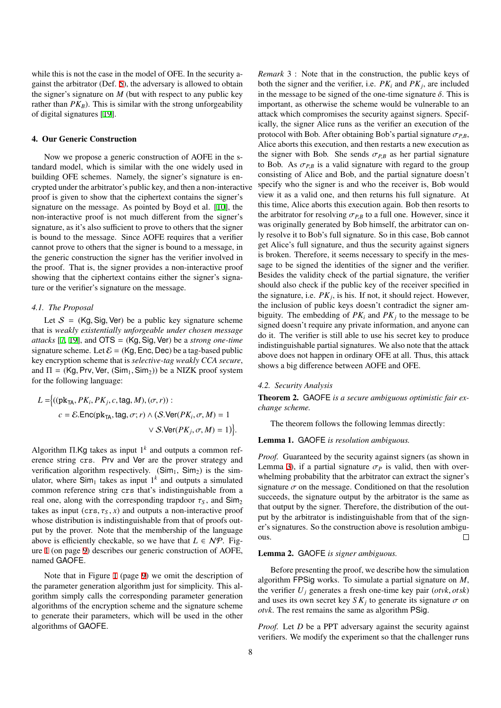while this is not the case in the model of OFE. In the security against the arbitrator (Def. [5\)](#page-7-1), the adversary is allowed to obtain the signer's signature on  $M$  (but with respect to any public key rather than  $PK_B$ ). This is similar with the strong unforgeability of digital signatures [[19\]](#page-16-36).

#### <span id="page-9-0"></span>4. Our Generic Construction

Now we propose a generic construction of AOFE in the standard model, which is similar with the one widely used in building OFE schemes. Namely, the signer's signature is encrypted under the arbitrator's public key, and then a non-interactive proof is given to show that the ciphertext contains the signer's signature on the message. As pointed by Boyd et al. [[10\]](#page-16-16), the non-interactive proof is not much different from the signer's signature, as it's also sufficient to prove to others that the signer is bound to the message. Since AOFE requires that a verifier cannot prove to others that the signer is bound to a message, in the generic construction the signer has the verifier involved in the proof. That is, the signer provides a non-interactive proof showing that the ciphertext contains either the signer's signature or the verifier's signature on the message.

### *4.1. The Proposal*

Let  $S = (Kg, Sig, Ver)$  be a public key signature scheme that is *weakly existentially unforgeable under chosen message attacks* [[7,](#page-16-30) [19\]](#page-16-36), and OTS = (Kg, Sig, Ver) be a *strong one-time* signature scheme. Let  $\mathcal{E} = (Kg, Enc, Dec)$  be a tag-based public key encryption scheme that is *selective-tag weakly CCA secure*, and  $\Pi = (Kg, Prv, Ver, (Sim<sub>1</sub>, Sim<sub>2</sub>))$  be a NIZK proof system for the following language:

$$
L = \left\{ ((\text{pk}_{\text{TA}}, PK_i, PK_j, c, \text{tag}, M), (\sigma, r)) : \right.
$$
  

$$
c = \mathcal{E}.\text{Enc}(\text{pk}_{\text{TA}}, \text{tag}, \sigma; r) \land (\mathcal{S}.\text{Ver}(PK_i, \sigma, M) = 1)
$$
  

$$
\lor \mathcal{S}.\text{Ver}(PK_j, \sigma, M) = 1) \right\}.
$$

Algorithm Π.Kg takes as input 1*<sup>k</sup>* and outputs a common reference string crs. Prv and Ver are the prover strategy and verification algorithm respectively.  $(Sim_1, Sim_2)$  is the simulator, where  $Sim<sub>1</sub>$  takes as input  $1<sup>k</sup>$  and outputs a simulated common reference string crs that's indistinguishable from a real one, along with the corresponding trapdoor  $\tau_s$ , and  $\text{Sim}_2$ takes as input  $(crs, \tau_s, x)$  and outputs a non-interactive proof whose distribution is indistinguishable from that of proofs output by the prover. Note that the membership of the language above is efficiently checkable, so we have that  $L \in \mathcal{NP}$ . Figure [1](#page-10-0) (on page [9\)](#page-10-0) describes our generic construction of AOFE, named GAOFE.

Note that in Figure [1](#page-10-0) (page [9](#page-10-0)) we omit the description of the parameter generation algorithm just for simplicity. This algorithm simply calls the corresponding parameter generation algorithms of the encryption scheme and the signature scheme to generate their parameters, which will be used in the other algorithms of GAOFE.

*Remark* 3 : Note that in the construction, the public keys of both the signer and the verifier, i.e.  $PK_i$  and  $PK_j$ , are included in the message to be signed of the one-time signature  $\delta$ . This is important, as otherwise the scheme would be vulnerable to an attack which compromises the security against signers. Specifically, the signer Alice runs as the verifier an execution of the protocol with Bob. After obtaining Bob's partial signature  $\sigma_{PR}$ , Alice aborts this execution, and then restarts a new execution as the signer with Bob. She sends  $\sigma_{P,B}$  as her partial signature to Bob. As  $\sigma_{PB}$  is a valid signature with regard to the group consisting of Alice and Bob, and the partial signature doesn't specify who the signer is and who the receiver is, Bob would view it as a valid one, and then returns his full signature. At this time, Alice aborts this execution again. Bob then resorts to the arbitrator for resolving  $\sigma_{P,B}$  to a full one. However, since it was originally generated by Bob himself, the arbitrator can only resolve it to Bob's full signature. So in this case, Bob cannot get Alice's full signature, and thus the security against signers is broken. Therefore, it seems necessary to specify in the message to be signed the identities of the signer and the verifier. Besides the validity check of the partial signature, the verifier should also check if the public key of the receiver specified in the signature, i.e.  $PK_j$ , is his. If not, it should reject. However, the inclusion of public keys doesn't contradict the signer ambiguity. The embedding of  $PK_i$  and  $PK_j$  to the message to be signed doesn't require any private information, and anyone can do it. The verifier is still able to use his secret key to produce indistinguishable partial signatures. We also note that the attack above does not happen in ordinary OFE at all. Thus, this attack shows a big difference between AOFE and OFE.

### *4.2. Security Analysis*

Theorem 2. GAOFE *is a secure ambiguous optimistic fair exchange scheme.*

The theorem follows the following lemmas directly:

Lemma 1. GAOFE *is resolution ambiguous.*

*Proof.* Guaranteed by the security against signers (as shown in Lemma [3\)](#page-11-0), if a partial signature  $\sigma_p$  is valid, then with overwhelming probability that the arbitrator can extract the signer's signature  $\sigma$  on the message. Conditioned on that the resolution succeeds, the signature output by the arbitrator is the same as that output by the signer. Therefore, the distribution of the output by the arbitrator is indistinguishable from that of the signer's signatures. So the construction above is resolution ambiguous.  $\Box$ 

#### <span id="page-9-1"></span>Lemma 2. GAOFE *is signer ambiguous.*

Before presenting the proof, we describe how the simulation algorithm FPSig works. To simulate a partial signature on *M*, the verifier *U<sup>j</sup>* generates a fresh one-time key pair (*otvk*, *otsk*) and uses its own secret key  $S K_j$  to generate its signature  $\sigma$  on *otvk*. The rest remains the same as algorithm PSig.

*Proof.* Let *D* be a PPT adversary against the security against verifiers. We modify the experiment so that the challenger runs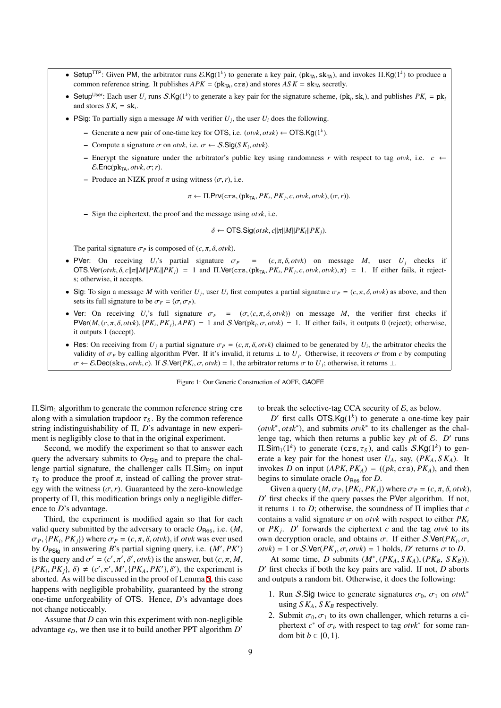- Setup<sup>TTP</sup>: Given PM, the arbitrator runs  $\mathcal{E} \cdot \mathsf{Kg}(1^k)$  to generate a key pair, (pk<sub>TA</sub>, sk<sub>TA</sub>), and invokes  $\Pi$ .Kg( $1^k$ ) to produce a common reference string. It publishes  $APK = (pk_{TA}, crs)$  and stores  $ASK = sk_{TA}$  secretly.
- Setup<sup>User</sup>: Each user  $U_i$  runs  $S.Kg(1^k)$  to generate a key pair for the signature scheme,  $(pk_i, sk_i)$ , and publishes  $PK_i = pk_i$ and stores  $S K_i = S k_i$ .
- PSig: To partially sign a message *M* with verifier  $U_j$ , the user  $U_i$  does the following.
	- Generate a new pair of one-time key for OTS, i.e. (*otvk*, *otsk*) ← OTS.Kg(1*<sup>k</sup>* ).
	- Compute a signature σ on *otvk*, i.e. σ ← S.Sig(*S K<sup>i</sup>* , *otvk*).
	- Encrypt the signature under the arbitrator's public key using randomness *r* with respect to tag *otvk*, i.e. *c* ←  $E.Enc(pk<sub>TA</sub>, *otvk*,  $\sigma$ ; *r*).$
	- Produce an NIZK proof π using witness (σ,*r*), i.e.

 $\pi \leftarrow \Pi$ .Prv(crs, (pk<sub>TA</sub>, *PK*<sub>*i*</sub>, *PK*<sub>*j*</sub>, *c*, *otvk*, *otvk*), ( $\sigma$ , *r*)).

– Sign the ciphertext, the proof and the message using *otsk*, i.e.

<span id="page-10-0"></span> $\delta \leftarrow$  OTS.Sig(*otsk*, *c*|| $\pi$ || $M$ || $PK_i$ || $PK_j$ ).

The parital signature  $\sigma_p$  is composed of  $(c, \pi, \delta, \text{otv}k)$ .

- PVer: On receiving  $U_i$ 's partial signature  $\sigma_p = (c, \pi, \delta, \text{otv}k)$  on message *M*, user  $U_i$  checks if  $\overline{OTS}$ . Ver(*otvk*, δ, *c*∥π||*M*||*PK*<sub>*i*</sub>||*PK*<sub>*j*</sub>) = 1 and Π. Ver(crs, (pk<sub>TA</sub>, *PK<sub>i</sub>*, *PK<sub>j</sub>*, *c*, *otvk*, *otvk*), π) = 1. If either fails, it rejects; otherwise, it accepts.
- Sig: To sign a message *M* with verifier  $U_j$ , user  $U_i$  first computes a partial signature  $\sigma_P = (c, \pi, \delta, \text{or } v \kappa)$  as above, and then sets its full signature to be  $\sigma_F = (\sigma, \sigma_P)$ .
- Ver: On receiving  $U_i$ 's full signature  $\sigma_F = (\sigma, (c, \pi, \delta, \omega t_k))$  on message *M*, the verifier first checks if  $PVer(M, (c, \pi, \delta, \text{otv}), {PK_i, PK_j}, APK) = 1$  and  $S.$ Ver(pk<sub>i</sub>,  $\sigma$ ,  $\text{otv}$ k) = 1. If either fails, it outputs 0 (reject); otherwise, it outputs 1 (accept).
- Res: On receiving from  $U_j$  a partial signature  $\sigma_P = (c, \pi, \delta, \text{otv}k)$  claimed to be generated by  $U_i$ , the arbitrator checks the validity of  $\sigma_P$  by calling algorithm PVer. If it's invalid, it returns  $\perp$  to  $U_j$ . Otherwise, it recovers  $\sigma$  from c by computing  $\sigma \leftarrow \mathcal{E}.\mathsf{Dec}(\mathsf{sk}_{\mathsf{TA}}, \text{otv}, c)$ . If  $\mathcal{S}.\mathsf{Ver}(PK_i, \sigma, \text{otv}) = 1$ , the arbitrator returns  $\sigma$  to  $U_j$ ; otherwise, it returns ⊥.

Figure 1: Our Generic Construction of AOFE, GAOFE

 $\Pi$ .Sim<sub>1</sub> algorithm to generate the common reference string crs along with a simulation trapdoor  $\tau_S$ . By the common reference string indistinguishability of Π, *D*'s advantage in new experiment is negligibly close to that in the original experiment.

Second, we modify the experiment so that to answer each query the adversary submits to  $O_{PSig}$  and to prepare the challenge partial signature, the challenger calls  $\Pi$ . Sim<sub>2</sub> on input  $\tau<sub>S</sub>$  to produce the proof  $\pi$ , instead of calling the prover strategy with the witness  $(\sigma, r)$ . Guaranteed by the zero-knowledge property of Π, this modification brings only a negligible difference to *D*'s advantage.

Third, the experiment is modified again so that for each valid query submitted by the adversary to oracle  $O_{\text{Res}}$ , i.e.  $(M,$  $\sigma_P$ ,  $\{PK_i, PK_j\}$ ) where  $\sigma_P = (c, \pi, \delta, \text{otvk})$ , if  $\text{otvk}$  was ever used by  $O_{\text{PSig}}$  in answering *B*'s partial signing query, i.e.  $(M', PK')$ is the query and  $\sigma' = (c', \pi', \delta', \text{otvk})$  is the answer, but  $(c, \pi, M, \delta')$  $\{PK_i, PK_j\}, \delta$   $\neq$  (*c'*, $\pi'$ , $M'$ ,  $\{PK_A, PK'\}, \delta'$ ), the experiment is aborted. As will be discussed in the proof of Lemma [5](#page-12-0), this case happens with negligible probability, guaranteed by the strong one-time unforgeability of OTS. Hence, *D*'s advantage does not change noticeably.

Assume that *D* can win this experiment with non-negligible advantage  $\epsilon_D$ , we then use it to build another PPT algorithm  $D'$ 

to break the selective-tag CCA security of  $\mathcal{E}$ , as below.

 $D'$  first calls OTS.Kg( $1^k$ ) to generate a one-time key pair (*otvk*<sup>∗</sup> , *otsk*<sup>∗</sup> ), and submits *otvk*<sup>∗</sup> to its challenger as the challenge tag, which then returns a public key  $pk$  of  $E$ .  $D'$  runs  $\Pi$ .Sim<sub>1</sub>(1<sup>k</sup>) to generate (crs,  $\tau_S$ ), and calls S.Kg(1<sup>k</sup>) to generate a key pair for the honest user  $U_A$ , say,  $(PK_A, SK_A)$ . It invokes *D* on input  $APK, PK<sub>A</sub>$ ) =  $((pk, crs), PK<sub>A</sub>)$ , and then begins to simulate oracle  $O_{\text{Res}}$  for *D*.

Given a query  $(M, \sigma_P, \{PK_i, PK_j\})$  where  $\sigma_P = (c, \pi, \delta, \text{otvk})$ , *D'* first checks if the query passes the PVer algorithm. If not, it returns  $\perp$  to *D*; otherwise, the soundness of  $\Pi$  implies that *c* contains a valid signature  $\sigma$  on *otvk* with respect to either  $PK_i$ or  $PK_j$ . *D'* forwards the ciphertext *c* and the tag *otvk* to its own decryption oracle, and obtains  $\sigma$ . If either *S*. Ver( $PK<sub>i</sub>$ ,  $\sigma$ ,  $otvk$ ) = 1 or *S*. Ver( $PK_j$ ,  $\sigma$ ,  $otvk$ ) = 1 holds, *D'* returns  $\sigma$  to *D*.

At some time, *D* submits  $(M^*, (PK_A, SK_A), (PK_B, SK_B))$ . *D* ′ first checks if both the key pairs are valid. If not, *D* aborts and outputs a random bit. Otherwise, it does the following:

- 1. Run *S*.Sig twice to generate signatures  $\sigma_0$ ,  $\sigma_1$  on  $\partial w^*$ using  $S K_A$ ,  $S K_B$  respectively.
- 2. Submit  $\sigma_0$ ,  $\sigma_1$  to its own challenger, which returns a ciphertext  $c^*$  of  $\sigma_b$  with respect to tag  $otvk^*$  for some random bit  $b \in \{0, 1\}$ .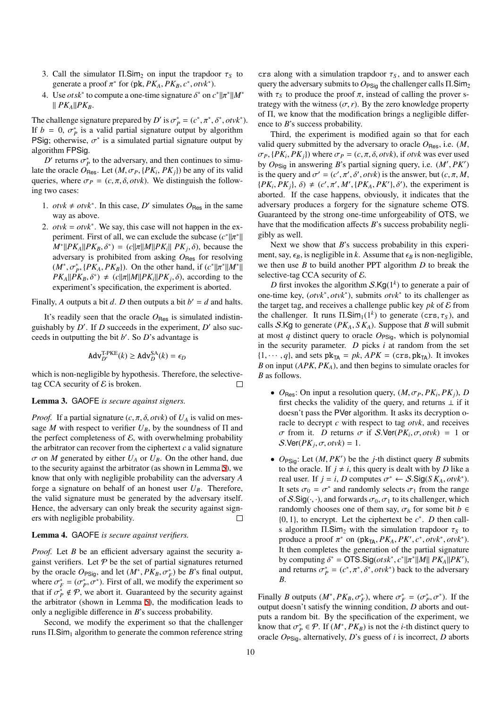- 3. Call the simulator  $\Pi$ . Sim<sub>2</sub> on input the trapdoor  $\tau_s$  to generate a proof  $\pi^*$  for (pk,  $PK_A$ ,  $PK_B$ ,  $c^*$ ,  $otvk^*$ ).
- 4. Use *otsk*<sup>\*</sup> to compute a one-time signature  $\delta^*$  on  $c^* || \pi^* || M^*$ ∥ *PKA*∥*PKB*.

The challenge signature prepared by *D'* is  $\sigma_p^* = (c^*, \pi^*, \delta^*, \text{otv}k^*)$ . If  $b = 0$ ,  $\sigma_p^*$  is a valid partial signature output by algorithm PSig; otherwise,  $\sigma^*$  is a simulated partial signature output by algorithm FPSig.

 $D'$  returns  $\sigma_p^*$  to the adversary, and then continues to simulate the oracle  $O_{\text{Res}}$ . Let  $(M, \sigma_P, \{PK_i, PK_j\})$  be any of its valid queries, where  $\sigma_P = (c, \pi, \delta, \text{otv}k)$ . We distinguish the following two cases:

- 1. *otvk* ≠ *otvk*<sup>\*</sup>. In this case, *D'* simulates  $O_{\text{Res}}$  in the same way as above.
- 2.  $otvk = otvk^*$ . We say, this case will not happen in the experiment. First of all, we can exclude the subcase  $(c^*||\pi^*||)$  $M^*$ || $PK_A$ || $PK_B$ ,  $\delta^*$ ) = (*c*|| $\pi$ || $M$ || $PK_i$ ||  $PK_j$ ,  $\delta$ ), because the adversary is prohibited from asking  $O_{\text{Res}}$  for resolving  $(M^*, \sigma_P^*, \{PK_A, PK_B\})$ . On the other hand, if  $(c^*||\pi^*||M^*||)$  $PK_A||PK_B, \delta^*$   $\neq$   $(c||\pi||M||PK_i||PK_j, \delta)$ , according to the experiment's specification, the experiment is aborted.

Finally, A outputs a bit *d*. D then outputs a bit  $b' = d$  and halts.

It's readily seen that the oracle  $O_{\text{Res}}$  is simulated indistinguishably by *D'*. If *D* succeeds in the experiment, *D'* also succeeds in outputting the bit *b* ′ . So *D*'s advantage is

$$
Adv_{D'}^{T-PKE}(k) \ge Adv_{D}^{SA}(k) = \epsilon_{D}
$$

which is non-negligible by hypothesis. Therefore, the selectivetag CCA security of  $\mathcal E$  is broken.  $\Box$ 

### <span id="page-11-0"></span>Lemma 3. GAOFE *is secure against signers.*

*Proof.* If a partial signature  $(c, \pi, \delta, \text{otv}k)$  of  $U_A$  is valid on message *M* with respect to verifier  $U_B$ , by the soundness of  $\Pi$  and the perfect completeness of  $\mathcal{E}$ , with overwhelming probability the arbitrator can recover from the ciphertext  $c$  a valid signature  $\sigma$  on *M* generated by either  $U_A$  or  $U_B$ . On the other hand, due to the security against the arbitrator (as shown in Lemma [5\)](#page-12-0), we know that only with negligible probability can the adversary *A* forge a signature on behalf of an honest user  $U_B$ . Therefore, the valid signature must be generated by the adversary itself. Hence, the adversary can only break the security against signers with negligible probability.  $\Box$ 

### Lemma 4. GAOFE *is secure against verifiers.*

*Proof.* Let *B* be an efficient adversary against the security against verifiers. Let  $P$  be the set of partial signatures returned by the oracle  $O_{PSig}$ , and let  $(M^*, PK_B, \sigma_F^*)$  be *B*'s final output, where  $\sigma_F^* = (\sigma_P^*, \sigma^*)$ . First of all, we modify the experiment so that if  $\sigma_p^* \notin \mathcal{P}$ , we abort it. Guaranteed by the security against the arbitrator (shown in Lemma [5](#page-12-0)), the modification leads to only a negligible difference in *B*'s success probability.

Second, we modify the experiment so that the challenger runs  $\Pi$ . Sim<sub>1</sub> algorithm to generate the common reference string

crs along with a simulation trapdoor  $\tau_s$ , and to answer each query the adversary submits to  $O_{PSiq}$  the challenger calls  $\Pi$ . Sim<sub>2</sub> with  $\tau_s$  to produce the proof  $\pi$ , instead of calling the prover strategy with the witness  $(\sigma, r)$ . By the zero knowledge property of Π, we know that the modification brings a negligible difference to *B*'s success probability.

Third, the experiment is modified again so that for each valid query submitted by the adversary to oracle  $O_{\text{Res}}$ , i.e.  $(M,$  $\sigma_P$ ,  $\{PK_i, PK_j\}$ ) where  $\sigma_P = (c, \pi, \delta, \text{otvk})$ , if  $\text{otvk}$  was ever used by *O*PSig in answering *B*'s partial signing query, i.e. (*M*′ , *PK*′ ) is the query and  $\sigma' = (c', \pi', \delta', \text{otvk})$  is the answer, but  $(c, \pi, M, \delta')$  $\{PK_i, PK_j\}, \delta$   $\neq$   $(c', \pi', M', \{PK_A, PK'\}, \delta')$ , the experiment is aborted. If the case happens, obviously, it indicates that the adversary produces a forgery for the signature scheme OTS. Guaranteed by the strong one-time unforgeability of OTS, we have that the modification affects *B*'s success probability negligibly as well.

Next we show that *B*'s success probability in this experiment, say,  $\epsilon_B$ , is negligible in *k*. Assume that  $\epsilon_B$  is non-negligible, we then use *B* to build another PPT algorithm *D* to break the selective-tag CCA security of  $\mathcal E$ .

*D* first invokes the algorithm  $S.Kg(1^k)$  to generate a pair of one-time key, (*otvk*<sup>∗</sup> , *otvk*<sup>∗</sup> ), submits *otvk*<sup>∗</sup> to its challenger as the target tag, and receives a challenge public key  $pk$  of  $E$  from the challenger. It runs  $\Pi$ . Sim<sub>1</sub>(1<sup>k</sup>) to generate (crs,  $\tau_s$ ), and calls S.Kg to generate  $(PK_A, SK_A)$ . Suppose that *B* will submit at most  $q$  distinct query to oracle  $O_{PSiq}$ , which is polynomial in the security parameter. *D* picks *i* at random from the set  $\{1, \dots, q\}$ , and sets  $pk_{TA} = pk$ ,  $APK = (crs, pk_{TA})$ . It invokes *B* on input (*APK*, *PKA*), and then begins to simulate oracles for *B* as follows.

- $O_{\text{Res}}$ : On input a resolution query,  $(M, \sigma_P, PK_i, PK_j)$ , *D* first checks the validity of the query, and returns  $\perp$  if it doesn't pass the PVer algorithm. It asks its decryption oracle to decrypt *c* with respect to tag *otvk*, and receives σ from it. *D* returns σ if S.Ver(*PK<sup>i</sup>* , σ, *otvk*) = 1 or  $S.\text{Ver}(PK_j, \sigma, \text{otvk}) = 1.$
- $O_{\text{PSig}}$ : Let  $(M, PK')$  be the *j*-th distinct query *B* submits to the oracle. If  $j \neq i$ , this query is dealt with by *D* like a real user. If  $j = i$ , *D* computes  $\sigma^* \leftarrow S.Sig(SK_A, \text{otv}k^*)$ . It sets  $\sigma_0 = \sigma^*$  and randomly selects  $\sigma_1$  from the range of  $S.Sig(\cdot, \cdot)$ , and forwards  $\sigma_0$ ,  $\sigma_1$  to its challenger, which randomly chooses one of them say,  $\sigma_b$  for some bit *b* ∈  $\{0, 1\}$ , to encrypt. Let the ciphertext be  $c^*$ . *D* then calls algorithm  $\Pi$ . Sim<sub>2</sub> with the simulation trapdoor  $\tau_s$  to produce a proof  $\pi^*$  on (pk<sub>TA</sub>,  $PK_A$ ,  $PK', c^*$ ,  $otvk^*$ ,  $otvk^*$ ). It then completes the generation of the partial signature by computing  $\delta^* = \text{OTS.Sig}(ots^*, c^* || \pi^* || M || P K_A || P K'),$ and returns  $\sigma_p^* = (c^*, \pi^*, \delta^*, \text{otv}k^*)$  back to the adversary *B*.

Finally *B* outputs  $(M^*, PK_B, \sigma_F^*)$ , where  $\sigma_F^* = (\sigma_P^*, \sigma^*)$ . If the output doesn't satisfy the winning condition, *D* aborts and outputs a random bit. By the specification of the experiment, we know that  $\sigma_p^* \in \mathcal{P}$ . If  $(M^*, PK_B)$  is not the *i*-th distinct query to oracle  $O_{PSig}$ , alternatively, *D*'s guess of *i* is incorrect, *D* aborts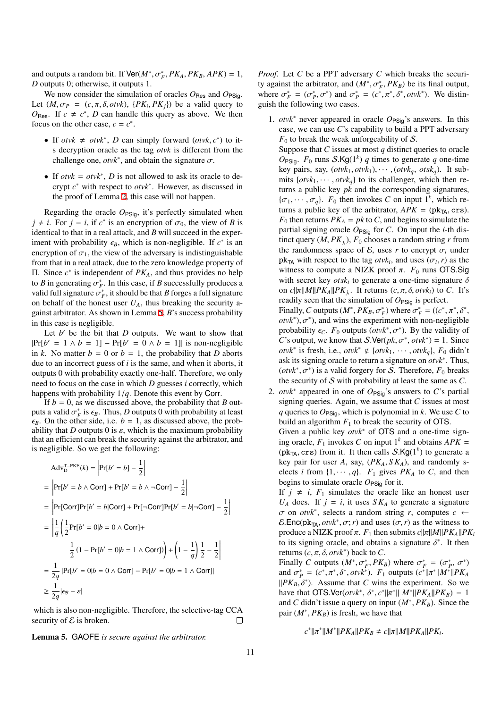and outputs a random bit. If  $\text{Ver}(M^*, \sigma_F^*, PK_A, PK_B, APK) = 1$ , *D* outputs 0; otherwise, it outputs 1.

We now consider the simulation of oracles  $O_{\text{Res}}$  and  $O_{\text{PSig}}$ . Let  $(M, \sigma_P = (c, \pi, \delta, \text{otvk}), \{PK_i, PK_j\})$  be a valid query to  $O_{\text{Res}}$ . If  $c \neq c^*$ , *D* can handle this query as above. We then focus on the other case,  $c = c^*$ .

- If *otvk*  $\neq$  *otvk*<sup>\*</sup>, *D* can simply forward (*otvk*, *c*<sup>\*</sup>) to its decryption oracle as the tag *otvk* is different from the challenge one,  $otvk^*$ , and obtain the signature  $\sigma$ .
- If  $otvk = otvk^*$ , *D* is not allowed to ask its oracle to decrypt *c* <sup>∗</sup> with respect to *otvk*<sup>∗</sup> . However, as discussed in the proof of Lemma [2,](#page-9-1) this case will not happen.

Regarding the oracle  $O_{PSig}$ , it's perfectly simulated when  $j \neq i$ . For  $j = i$ , if  $c^*$  is an encryption of  $\sigma_0$ , the view of *B* is identical to that in a real attack, and *B* will succeed in the experiment with probability  $\epsilon_B$ , which is non-negligible. If  $c^*$  is an encryption of  $\sigma_1$ , the view of the adversary is indistinguishable from that in a real attack, due to the zero knowledge property of Π. Since *c* ∗ is independent of *PKA*, and thus provides no help to *B* in generating  $\sigma_F^*$ . In this case, if *B* successfully produces a valid full signature  $\sigma_F^*$ , it should be that *B* forges a full signature on behalf of the honest user  $U_A$ , thus breaking the security against arbitrator. As shown in Lemma [5](#page-12-0), *B*'s success probability in this case is negligible.

Let  $b'$  be the bit that  $D$  outputs. We want to show that  $|Pr[b' = 1 \land b = 1] - Pr[b' = 0 \land b = 1]|$  is non-negligible in *k*. No matter  $b = 0$  or  $b = 1$ , the probability that *D* aborts due to an incorrect guess of *i* is the same, and when it aborts, it outputs 0 with probability exactly one-half. Therefore, we only need to focus on the case in which *D* guesses *i* correctly, which happens with probability 1/*q*. Denote this event by Corr.

If  $b = 0$ , as we discussed above, the probability that *B* outputs a valid  $\sigma_F^*$  is  $\epsilon_B$ . Thus, *D* outputs 0 with probability at least  $\epsilon_B$ . On the other side, i.e.  $b = 1$ , as discussed above, the probability that *D* outputs 0 is  $\varepsilon$ , which is the maximum probability that an efficient can break the security against the arbitrator, and is negligible. So we get the following:

$$
Adv_{D}^{T-PKE}(k) = \left| Pr[b' = b] - \frac{1}{2} \right|
$$
  
\n
$$
= \left| Pr[b' = b \land Corr] + Pr[b' = b \land \neg Corr] - \frac{1}{2} \right|
$$
  
\n
$$
= \left| Pr[Corr]Pr[b' = b | Corr] + Pr[\neg Corr]Pr[b' = b | \neg Corr] - \frac{1}{2} \right|
$$
  
\n
$$
= \left| \frac{1}{q} \left( \frac{1}{2} Pr[b' = 0 | b = 0 \land Corr] + \frac{1}{2} (1 - Pr[b' = 0 | b = 1 \land Corr]) \right) + \left( 1 - \frac{1}{q} \right) \frac{1}{2} - \frac{1}{2} \right|
$$
  
\n
$$
= \frac{1}{2q} |Pr[b' = 0 | b = 0 \land Corr] - Pr[b' = 0 | b = 1 \land Corr]]
$$
  
\n
$$
\geq \frac{1}{2q} |\epsilon_{g} - \epsilon|
$$

which is also non-negligible. Therefore, the selective-tag CCA security of  $\mathcal E$  is broken.  $\Box$ 

<span id="page-12-0"></span>Lemma 5. GAOFE *is secure against the arbitrator.*

*Proof.* Let *C* be a PPT adversary *C* which breaks the security against the arbitrator, and  $(M^*, \sigma_F^*, PK_B)$  be its final output, where  $\sigma_F^* = (\sigma_P^*, \sigma^*)$  and  $\sigma_P^* = (c^*, \pi^*, \delta^*, \text{otv}k^*)$ . We distinguish the following two cases.

1. *otvk*<sup>∗</sup> never appeared in oracle *O*PSig's answers. In this case, we can use *C*'s capability to build a PPT adversary  $F_0$  to break the weak unforgeability of S.

Suppose that *C* issues at most *q* distinct queries to oracle  $O_{\text{PSig}}$ .  $F_0$  runs S.Kg(1<sup>k</sup>) *q* times to generate *q* one-time key pairs, say,  $(\text{otv}k_1, \text{otv}k_1), \cdots, (\text{otv}k_q, \text{ots}k_q)$ . It submits  $\{otv k_1, \dots, \text{otv} k_q\}$  to its challenger, which then returns a public key *pk* and the corresponding signatures,  ${\{\sigma_1, \cdots, \sigma_q\}}$ .  $F_0$  then invokes C on input  $1^k$ , which returns a public key of the arbitrator,  $APK = (\text{pk}_{TA}, \text{crs})$ .  $F_0$  then returns  $PK_A = pk$  to *C*, and begins to simulate the partial signing oracle  $O_{PSiq}$  for *C*. On input the *i*-th distinct query  $(M, PK<sub>j<sub>i</sub></sub>), F<sub>0</sub>$  chooses a random string *r* from the randomness space of  $\mathcal{E}$ , uses *r* to encrypt  $\sigma_i$  under  $pk_{TA}$  with respect to the tag *otvk<sub>i</sub>*, and uses  $(\sigma_i, r)$  as the witness to compute a NIZK proof  $\pi$ .  $F_0$  runs OTS.Sig with secret key  $otsk_i$  to generate a one-time signature  $\delta$ on  $c||\pi||M||PK_A||PK_j$ . It returns  $(c, \pi, \delta, otvk_i)$  to C. It's readily seen that the simulation of  $O_{PSiq}$  is perfect.

Finally, *C* outputs  $(M^*, PK_B, \sigma_F^*)$  where  $\sigma_F^* = ((c^*, \pi^*, \delta^*,$  $otvk^*$ ),  $\sigma^*$ ), and wins the experiment with non-negligible probability  $\epsilon_C$ .  $F_0$  outputs  $(\text{otv}k^*, \sigma^*)$ . By the validity of *C*'s output, we know that *S*.Ver( $pk$ ,  $\sigma^*$ ,  $otvk^*$ ) = 1. Since *otvk*<sup>∗</sup> is fresh, i.e., *otvk*<sup>∗</sup> ∉ {*otvk*<sub>1</sub>, · · · , *otvk*<sub>*q*</sub>}, *F*<sub>0</sub> didn't ask its signing oracle to return a signature on *otvk*<sup>∗</sup> . Thus, ( $otvk^*, \sigma^*$ ) is a valid forgery for *S*. Therefore,  $F_0$  breaks the security of S with probability at least the same as *C*.

2. *otvk*<sup>∗</sup> appeared in one of *O*PSig's answers to *C*'s partial signing queries. Again, we assume that *C* issues at most *q* queries to  $O_{PSiq}$ , which is polynomial in *k*. We use *C* to build an algorithm  $F_1$  to break the security of OTS. Given a public key *otvk*<sup>∗</sup> of OTS and a one-time signing oracle,  $F_1$  invokes C on input  $1^k$  and obtains  $APK =$  $(pk_{TA}, crs)$  from it. It then calls  $S.Kg(1^k)$  to generate a key pair for user *A*, say, (*PKA*, *S KA*), and randomly selects *i* from  $\{1, \dots, q\}$ .  $F_1$  gives  $PK_A$  to  $C$ , and then begins to simulate oracle  $O_{PSig}$  for it.

If  $j \neq i$ ,  $F_1$  simulates the oracle like an honest user  $U_A$  does. If  $j = i$ , it uses *SK<sub>A</sub>* to generate a signature  $\sigma$  on *otvk*<sup>\*</sup>, selects a random string *r*, computes  $c \leftarrow$  $\mathcal{E}$ .Enc(pk<sub>TA</sub>,  $otvk^*$ ,  $\sigma$ ; *r*) and uses ( $\sigma$ , *r*) as the witness to produce a NIZK proof  $\pi$ .  $F_1$  then submits  $c||\pi||M||PK_A||PK_i$ to its signing oracle, and obtains a signature  $\delta^*$ . It then returns  $(c, \pi, \delta, \text{otv}k^*)$  back to *C*.

Finally *C* outputs  $(M^*, \sigma_F^*, PK_B)$  where  $\sigma_F^* = (\sigma_P^*, \sigma^*)$ and  $\sigma_p^* = (c^*, \pi^*, \delta^*, \text{otv}k^*)$ .  $F_1$  outputs  $(c^* || \pi^* || M^* || PK_A)$  $||PK_B, \delta^*$ ). Assume that *C* wins the experiment. So we have that OTS.Ver(*otvk*<sup>\*</sup>,  $\delta^*$ ,  $c^* || \pi^* || M^* || P K_A || P K_B$ ) = 1 and *C* didn't issue a query on input (*M*<sup>∗</sup> , *PKB*). Since the pair  $(M^*, PK_B)$  is fresh, we have that

$$
c^*||\pi^*||M^*||PK_A||PK_B \neq c||\pi||M||PK_A||PK_i.
$$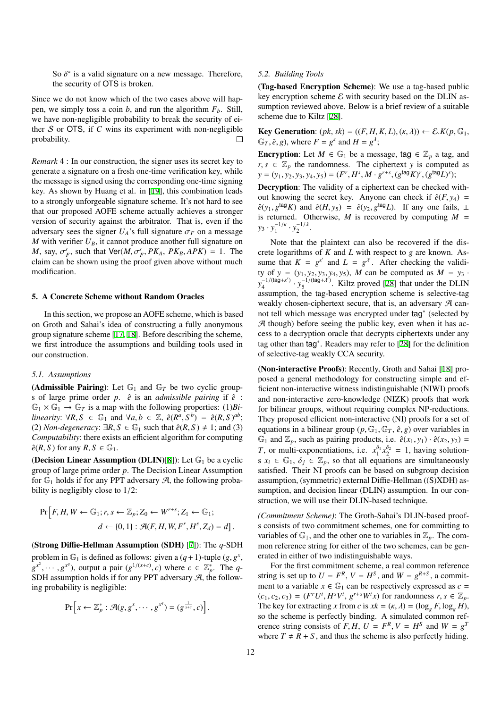So  $\delta^*$  is a valid signature on a new message. Therefore, the security of OTS is broken.

Since we do not know which of the two cases above will happen, we simply toss a coin *b*, and run the algorithm  $F<sub>b</sub>$ . Still, we have non-negligible probability to break the security of either S or OTS, if *C* wins its experiment with non-negligible probability.  $\Box$ 

*Remark* 4 : In our construction, the signer uses its secret key to generate a signature on a fresh one-time verification key, while the message is signed using the corresponding one-time signing key. As shown by Huang et al. in [[19\]](#page-16-36), this combination leads to a strongly unforgeable signature scheme. It's not hard to see that our proposed AOFE scheme actually achieves a stronger version of security against the arbitrator. That is, even if the adversary sees the signer  $U_A$ 's full signature  $\sigma_F$  on a message *M* with verifier  $U_B$ , it cannot produce another full signature on *M*, say,  $\sigma'_F$ , such that  $\text{Ver}(M, \sigma'_F, PK_A, PK_B, APK) = 1$ . The claim can be shown using the proof given above without much modification.

#### <span id="page-13-0"></span>5. A Concrete Scheme without Random Oracles

In this section, we propose an AOFE scheme, which is based on Groth and Sahai's idea of constructing a fully anonymous group signature scheme [\[17](#page-16-37), [18\]](#page-16-38). Before describing the scheme, we first introduce the assumptions and building tools used in our construction.

#### *5.1. Assumptions*

(Admissible Pairing): Let  $\mathbb{G}_1$  and  $\mathbb{G}_T$  be two cyclic groups of large prime order *p*.  $\hat{e}$  is an *admissible pairing* if  $\hat{e}$  :  $\mathbb{G}_1 \times \mathbb{G}_1 \to \mathbb{G}_T$  is a map with the following properties: (1)*Bilinearity*:  $\forall R, S \in \mathbb{G}_1$  and  $\forall a, b \in \mathbb{Z}$ ,  $\hat{e}(R^a, S^b) = \hat{e}(R, S)^{ab}$ ; (2) *Non-degeneracy*:  $\exists R, S \in \mathbb{G}_1$  such that  $\hat{e}(R, S) \neq 1$ ; and (3) *Computability*: there exists an efficient algorithm for computing  $\hat{e}(R, S)$  for any  $R, S \in \mathbb{G}_1$ .

(Decision Linear Assumption (DLIN)[\[8](#page-16-39)]): Let  $\mathbb{G}_1$  be a cyclic group of large prime order *p*. The Decision Linear Assumption for  $\mathbb{G}_1$  holds if for any PPT adversary  $\mathcal{A}$ , the following probability is negligibly close to 1/2:

$$
\Pr\left[F, H, W \leftarrow \mathbb{G}_1; r, s \leftarrow \mathbb{Z}_p; Z_0 \leftarrow W^{r+s}; Z_1 \leftarrow \mathbb{G}_1; \\
d \leftarrow \{0, 1\} : \mathcal{A}(F, H, W, F^r, H^s, Z_d) = d\right].
$$

(Strong Diffie-Hellman Assumption (SDH) [[7\]](#page-16-30)): The *q*-SDH problem in  $\mathbb{G}_1$  is defined as follows: given a  $(q+1)$ -tuple  $(g, g^x)$ ,  $g^{x^2}, \dots, g^{x^q}$ , output a pair  $(g^{1/(x+c)}, c)$  where  $c \in \mathbb{Z}_p^*$ . The *q*-SDH assumption holds if for any PPT adversary  $\mathcal{A}$ , the following probability is negligible:

$$
\Pr\left[x \leftarrow \mathbb{Z}_p^* : \mathcal{A}(g, g^x, \cdots, g^{x^q}) = (g^{\frac{1}{x+c}}, c)\right].
$$

#### *5.2. Building Tools*

(Tag-based Encryption Scheme): We use a tag-based public key encryption scheme  $\mathcal E$  with security based on the DLIN assumption reviewed above. Below is a brief review of a suitable scheme due to Kiltz [[28\]](#page-16-29).

**Key Generation:**  $(pk, sk) = ((F, H, K, L), (k, \lambda)) \leftarrow \mathcal{E}.K(p, \mathbb{G}_1,$  $\mathbb{G}_T$ ,  $\hat{e}$ ,  $g$ ), where  $F = g^k$  and  $H = g^{\lambda}$ ;

**Encryption:** Let  $M \in \mathbb{G}_1$  be a message, tag  $\in \mathbb{Z}_p$  a tag, and  $r, s \in \mathbb{Z}_p$  the randomness. The ciphertext *y* is computed as  $y = (y_1, y_2, y_3, y_4, y_5) = (F^r, H^s, M \cdot g^{r+s}, (g^{\text{tag}} K)^r, (g^{\text{tag}} L)^s);$ 

Decryption: The validity of a ciphertext can be checked without knowing the secret key. Anyone can check if  $\hat{e}(F, y_4)$  =  $\hat{e}(y_1, g^{\text{tag}}K)$  and  $\hat{e}(H, y_5) = \hat{e}(y_2, g^{\text{tag}}L)$ . If any one fails,  $\perp$ is returned. Otherwise,  $M$  is recovered by computing  $M =$  $y_3 \cdot y_1^{-1/k}$  $y_1^{-1/\kappa} \cdot y_2^{-1/\lambda}$  $\frac{1}{2}$ .

Note that the plaintext can also be recovered if the discrete logarithms of *K* and *L* with respect to *g* are known. Assume that  $K = g^{k'}$  and  $L = g^{l'}$ . After checking the validity of  $y = (y_1, y_2, y_3, y_4, y_5)$ , *M* can be computed as  $M = y_3$ .  $y_4^{-1/(tag+\kappa')}$  $y_5^{-1/(\text{tag}+\lambda')}$   $\cdot y_5^{-1/(\text{tag}+\lambda')}$  $\frac{5}{5}$ <sup>-1/(tag+ $\lambda$ )</sup>. Kiltz proved [\[28](#page-16-29)] that under the DLIN assumption, the tag-based encryption scheme is selective-tag weakly chosen-ciphertext secure, that is, an adversary  $A$  cannot tell which message was encrypted under tag<sup>∗</sup> (selected by  $A$  though) before seeing the public key, even when it has access to a decryption oracle that decrypts ciphertexts under any tag other than tag<sup>∗</sup> . Readers may refer to [\[28](#page-16-29)] for the definition of selective-tag weakly CCA security.

(Non-interactive Proofs): Recently, Groth and Sahai [\[18](#page-16-38)] proposed a general methodology for constructing simple and efficient non-interactive witness indistinguishable (NIWI) proofs and non-interactive zero-knowledge (NIZK) proofs that work for bilinear groups, without requiring complex NP-reductions. They proposed efficient non-interactive (NI) proofs for a set of equations in a bilinear group ( $p$ ,  $\mathbb{G}_1$ ,  $\mathbb{G}_7$ ,  $\hat{e}$ ,  $g$ ) over variables in  $\mathbb{G}_1$  and  $\mathbb{Z}_p$ , such as pairing products, i.e.  $\hat{e}(x_1, y_1) \cdot \hat{e}(x_2, y_2) =$ *T*, or multi-exponentiations, i.e.  $x_1^{\delta_1} x_2^{\delta_2} = 1$ , having solutions  $x_i \in \mathbb{G}_1$ ,  $\delta_j \in \mathbb{Z}_p$ , so that all equations are simultaneously satisfied. Their NI proofs can be based on subgroup decision assumption, (symmetric) external Diffie-Hellman ((S)XDH) assumption, and decision linear (DLIN) assumption. In our construction, we will use their DLIN-based technique.

*(Commitment Scheme)*: The Groth-Sahai's DLIN-based proofs consists of two commitment schemes, one for committing to variables of  $\mathbb{G}_1$ , and the other one to variables in  $\mathbb{Z}_p$ . The common reference string for either of the two schemes, can be generated in either of two indistinguishable ways.

For the first commitment scheme, a real common reference string is set up to  $U = F^R$ ,  $V = H^S$ , and  $W = g^{R+S}$ , a commitment to a variable  $x \in \mathbb{G}_1$  can be respectively expressed as  $c =$  $(c_1, c_2, c_3) = (F^r U^t, H^s V^t, g^{r+s} W^t x)$  for randomness  $r, s \in \mathbb{Z}_p$ . The key for extracting *x* from *c* is  $x = (\kappa, \lambda) = (\log_{g} F, \log_{g} H)$ , so the scheme is perfectly binding. A simulated common reference string consists of *F*, *H*,  $U = F^R$ ,  $V = H^S$  and  $W = g^T$ where  $T \neq R + S$ , and thus the scheme is also perfectly hiding.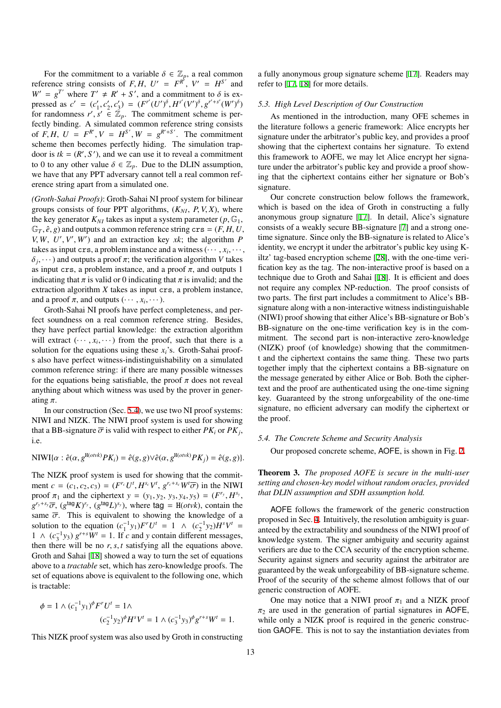For the commitment to a variable  $\delta \in \mathbb{Z}_p$ , a real common reference string consists of *F*, *H*,  $U' = F^{R'}$ ,  $V' = H^{S'}$  and  $W' = g^{T'}$  where  $T' \neq R' + S'$ , and a commitment to  $\delta$  is expressed as  $c' = (c'_1, c'_2, c'_3) = (F^{r'}(U')^{\delta}, H^{s'}(V')^{\delta}, g^{r'+s'}(W')^{\delta})$ for randomness  $r', s' \in \mathbb{Z}_p$ . The commitment scheme is perfectly binding. A simulated common reference string consists of *F*, *H*, *U* =  $F^{R'}$ ,  $V = H^{S'}$ ,  $W = g^{R'+S'}$ . The commitment scheme then becomes perfectly hiding. The simulation trapdoor is  $tk = (R', S')$ , and we can use it to reveal a commitment to 0 to any other value  $\delta \in \mathbb{Z}_p$ . Due to the DLIN assumption, we have that any PPT adversary cannot tell a real common reference string apart from a simulated one.

*(Groth-Sahai Proofs)*: Groth-Sahai NI proof system for bilinear groups consists of four PPT algorithms,  $(K_{NI}, P, V, X)$ , where the key generator  $K_{NI}$  takes as input a system parameter ( $p$ ,  $\mathbb{G}_1$ ,  $\mathbb{G}_T$ ,  $\hat{e}$ ,  $g$ ) and outputs a common reference string crs =  $(F, H, U,$  $V, W, U', V', W'$  and an extraction key *xk*; the algorithm *P* takes as input  $\text{crs}$ , a problem instance and a witness  $(\cdots, x_i, \cdots,$  $\delta_j$ ,  $\cdots$ ) and outputs a proof  $\pi$ ; the verification algorithm *V* takes as input crs, a problem instance, and a proof  $\pi$ , and outputs 1 indicating that  $\pi$  is valid or 0 indicating that  $\pi$  is invalid; and the extraction algorithm *X* takes as input crs, a problem instance, and a proof  $\pi$ , and outputs  $(\cdots, x_i, \cdots)$ .

Groth-Sahai NI proofs have perfect completeness, and perfect soundness on a real common reference string. Besides, they have perfect partial knowledge: the extraction algorithm will extract  $(\cdots, x_i, \cdots)$  from the proof, such that there is a solution for the equations using these  $x_i$ 's. Groth-Sahai proofs also have perfect witness-indistinguishability on a simulated common reference string: if there are many possible witnesses for the equations being satisfiable, the proof  $\pi$  does not reveal anything about which witness was used by the prover in generating  $\pi$ .

In our construction (Sec. [5.4](#page-14-0)), we use two NI proof systems: NIWI and NIZK. The NIWI proof system is used for showing that a BB-signature  $\overline{\sigma}$  is valid with respect to either  $PK_i$  or  $PK_j$ , i.e.

$$
\text{NIWI}\{\alpha : \hat{e}(\alpha, g^{\text{H}(otvk)} P K_i) = \hat{e}(g, g) \lor \hat{e}(\alpha, g^{\text{H}(otvk)} P K_j) = \hat{e}(g, g)\}.
$$

The NIZK proof system is used for showing that the commitment  $c = (c_1, c_2, c_3) = (F^{r_c}U^t, H^{s_c}V^t, g^{r_c+s_c}W^t\overline{\sigma})$  in the NIWI proof  $\pi_1$  and the ciphertext  $y = (y_1, y_2, y_3, y_4, y_5) = (F^{r_y}, H^{s_y},$  $g^{r_y+s_y}\overline{\sigma}$ ,  $(g^{tag}K)^{r_y}$ ,  $(g^{tag}L)^{s_y}$ ), where tag = H(*otvk*), contain the same  $\overline{\sigma}$ . This is equivalent to showing the knowledge of a solution to the equation  $(c_1^{-1}y_1)F^rU^t = 1 \land (c_2^{-1}y_2)H^sV^t =$ 1 ∧  $(c_3^{-1}y_3) g^{r+s}W^t = 1$ . If *c* and *y* contain different messages, then there will be no  $r, s, t$  satisfying all the equations above. Groth and Sahai [\[18](#page-16-38)] showed a way to turn the set of equations above to a *tractable* set, which has zero-knowledge proofs. The set of equations above is equivalent to the following one, which is tractable:

$$
\phi = 1 \wedge (c_1^{-1}y_1)^{\phi} F^r U^t = 1 \wedge
$$
  

$$
(c_2^{-1}y_2)^{\phi} H^s V^t = 1 \wedge (c_3^{-1}y_3)^{\phi} g^{r+s} W^t = 1.
$$

This NIZK proof system was also used by Groth in constructing

a fully anonymous group signature scheme [[17\]](#page-16-37). Readers may refer to [\[17](#page-16-37), [18](#page-16-38)] for more details.

### *5.3. High Level Description of Our Construction*

As mentioned in the introduction, many OFE schemes in the literature follows a generic framework: Alice encrypts her signature under the arbitrator's public key, and provides a proof showing that the ciphertext contains her signature. To extend this framework to AOFE, we may let Alice encrypt her signature under the arbitrator's public key and provide a proof showing that the ciphertext contains either her signature or Bob's signature.

Our concrete construction below follows the framework, which is based on the idea of Groth in constructing a fully anonymous group signature [\[17](#page-16-37)]. In detail, Alice's signature consists of a weakly secure BB-signature [\[7](#page-16-30)] and a strong onetime signature. Since only the BB-signature is related to Alice's identity, we encrypt it under the arbitrator's public key using Kiltz' tag-based encryption scheme [\[28](#page-16-29)], with the one-time verification key as the tag. The non-interactive proof is based on a technique due to Groth and Sahai [\[18](#page-16-38)]. It is efficient and does not require any complex NP-reduction. The proof consists of two parts. The first part includes a commitment to Alice's BBsignature along with a non-interactive witness indistinguishable (NIWI) proof showing that either Alice's BB-signature or Bob's BB-signature on the one-time verification key is in the commitment. The second part is non-interactive zero-knowledge (NIZK) proof (of knowledge) showing that the commitment and the ciphertext contains the same thing. These two parts together imply that the ciphertext contains a BB-signature on the message generated by either Alice or Bob. Both the ciphertext and the proof are authenticated using the one-time signing key. Guaranteed by the strong unforgeability of the one-time signature, no efficient adversary can modify the ciphertext or the proof.

# <span id="page-14-0"></span>*5.4. The Concrete Scheme and Security Analysis*

Our proposed concrete scheme, AOFE, is shown in Fig. [2.](#page-15-1)

## Theorem 3. *The proposed AOFE is secure in the multi-user setting and chosen-key model without random oracles, provided that DLIN assumption and SDH assumption hold.*

AOFE follows the framework of the generic construction proposed in Sec. [4.](#page-9-0) Intuitively, the resolution ambiguity is guaranteed by the extractability and soundness of the NIWI proof of knowledge system. The signer ambiguity and security against verifiers are due to the CCA security of the encryption scheme. Security against signers and security against the arbitrator are guaranteed by the weak unforgeability of BB-signature scheme. Proof of the security of the scheme almost follows that of our generic construction of AOFE.

One may notice that a NIWI proof  $\pi_1$  and a NIZK proof  $\pi_2$  are used in the generation of partial signatures in AOFE, while only a NIZK proof is required in the generic construction GAOFE. This is not to say the instantiation deviates from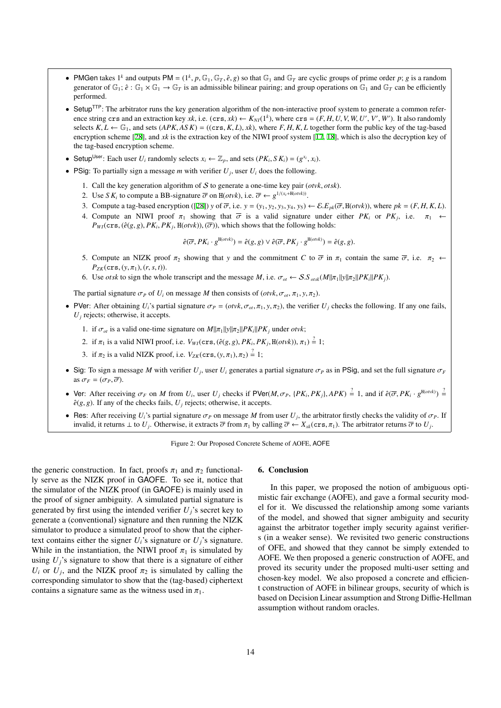- PMGen takes  $1^k$  and outputs PM =  $(1^k, p, \mathbb{G}_1, \mathbb{G}_T, \hat{e}, g)$  so that  $\mathbb{G}_1$  and  $\mathbb{G}_T$  are cyclic groups of prime order *p*; *g* is a random generator of  $\mathbb{G}_1$ ;  $\hat{e}$ :  $\mathbb{G}_1 \times \mathbb{G}_1 \to \mathbb{G}_T$  is an admissible bilinear pairing; and group operations on  $\mathbb{G}_1$  and  $\mathbb{G}_T$  can be efficiently performed.
- Setup<sup>TTP</sup>: The arbitrator runs the key generation algorithm of the non-interactive proof system to generate a common reference string crs and an extraction key *xk*, i.e. (crs, *xk*)  $\leftarrow K_{N}I(1^k)$ , where crs =  $(F, H, U, V, W, U', V', W')$ . It also randomly selects  $K, L \leftarrow \mathbb{G}_1$ , and sets  $APK, ASK$ ) = ((crs,  $K, L$ ),  $xk$ ), where  $F, H, K, L$  together form the public key of the tag-based encryption scheme [\[28](#page-16-29)], and *xk* is the extraction key of the NIWI proof system [\[17](#page-16-37), [18\]](#page-16-38), which is also the decryption key of the tag-based encryption scheme.
- Setup<sup>User</sup>: Each user  $U_i$  randomly selects  $x_i \leftarrow \mathbb{Z}_p$ , and sets  $(PK_i, SK_i) = (g^{x_i}, x_i)$ .
- PSig: To partially sign a message *m* with verifier  $U_j$ , user  $U_i$  does the following.
	- 1. Call the key generation algorithm of S to generate a one-time key pair (*otvk*, *otsk*).
	- 2. Use *S*  $K_i$  to compute a BB-signature  $\overline{\sigma}$  on H(*otvk*), i.e.  $\overline{\sigma} \leftarrow g^{1/(x_i + H(outk))}$ .
	- 3. Compute a tag-based encryption ([\[28](#page-16-29)]) y of  $\overline{\sigma}$ , i.e.  $y = (y_1, y_2, y_3, y_4, y_5) \leftarrow \mathcal{E}.E_{pk}(\overline{\sigma}, H(\text{ot}v\overline{k}))$ , where  $pk = (F, H, K, L)$ .
	- 4. Compute an NIWI proof  $\pi_1$  showing that  $\overline{\sigma}$  is a valid signature under either PK<sub>*i*</sub> or PK<sub>*j*</sub>, i.e.  $\pi_1 \leftarrow$  $P_{WI}(\text{crs}, (\hat{e}(g, g), PK_i, PK_j, H(\text{otvk})), (\overline{\sigma}))$ , which shows that the following holds:

<span id="page-15-1"></span>
$$
\hat{e}(\overline{\sigma}, PK_i \cdot g^{\text{H}(otvk)}) = \hat{e}(g, g) \vee \hat{e}(\overline{\sigma}, PK_j \cdot g^{\text{H}(otvk)}) = \hat{e}(g, g).
$$

- 5. Compute an NIZK proof  $\pi_2$  showing that *y* and the commitment *C* to  $\overline{\sigma}$  in  $\pi_1$  contain the same  $\overline{\sigma}$ , i.e.  $\pi_2 \leftarrow$  $P_{ZK}(\text{crs}, (y, \pi_1), (r, s, t)).$
- 6. Use *otsk* to sign the whole transcript and the message *M*, i.e.  $\sigma_{ot} \leftarrow S.S_{\text{ots}(M||\pi_1||y||\pi_2||PX_i||PK_j)}$ .

The partial signature  $\sigma_P$  of  $U_i$  on message *M* then consists of (*otvk*,  $\sigma_{ot}$ ,  $\pi_1$ ,  $y$ ,  $\pi_2$ ).

- PVer: After obtaining  $U_i$ 's partial signature  $\sigma_P = (otv k, \sigma_{\alpha}, \pi_1, y, \pi_2)$ , the verifier  $U_i$  checks the following. If any one fails,  $U_j$  rejects; otherwise, it accepts.
	- 1. if  $\sigma_{ot}$  is a valid one-time signature on  $M||\pi_1||y||\pi_2||PK_i||PK_j$  under *otvk*;
	- 2. if  $\pi_1$  is a valid NIWI proof, i.e.  $V_{WI}(\text{crs}, (\hat{e}(g, g), PK_i, PK_j, H(\text{ot}vk)), \pi_1) \stackrel{?}{=} 1;$
	- 3. if  $\pi_2$  is a valid NIZK proof, i.e.  $V_{ZK}(\text{crs}, (y, \pi_1), \pi_2) \stackrel{?}{=} 1$ ;
- Sig: To sign a message *M* with verifier  $U_j$ , user  $U_i$  generates a partial signature  $\sigma_P$  as in PSig, and set the full signature  $\sigma_F$ as  $\sigma_F = (\sigma_P, \overline{\sigma}).$
- Ver: After receiving  $\sigma_F$  on M from  $U_i$ , user  $U_j$  checks if PVer(M,  $\sigma_P$ , {PK<sub>i</sub>, PK<sub>j</sub>}, APK)  $\stackrel{?}{=} 1$ , and if  $\hat{e}(\overline{\sigma}, PK_i \cdot g^{\text{H}(\text{orbk})}) \stackrel{?}{=} 1$  $\hat{e}(g, g)$ . If any of the checks fails,  $U_i$  rejects; otherwise, it accepts.
- Res: After receiving  $U_i$ 's partial signature  $\sigma_P$  on message *M* from user  $U_j$ , the arbitrator firstly checks the validity of  $\sigma_P$ . If invalid, it returns  $\perp$  to  $U_j$ . Otherwise, it extracts  $\overline{\sigma}$  from  $\pi_1$  by calling  $\overline{\sigma} \leftarrow X_{xx}(\text{crs}, \pi_1)$ . The arbitrator returns  $\overline{\sigma}$  to  $U_j$ .

Figure 2: Our Proposed Concrete Scheme of AOFE, AOFE

the generic construction. In fact, proofs  $\pi_1$  and  $\pi_2$  functionally serve as the NIZK proof in GAOFE. To see it, notice that the simulator of the NIZK proof (in GAOFE) is mainly used in the proof of signer ambiguity. A simulated partial signature is generated by first using the intended verifier  $U_i$ 's secret key to generate a (conventional) signature and then running the NIZK simulator to produce a simulated proof to show that the ciphertext contains either the signer  $U_i$ 's signature or  $U_i$ 's signature. While in the instantiation, the NIWI proof  $\pi_1$  is simulated by using  $U_i$ 's signature to show that there is a signature of either  $U_i$  or  $U_j$ , and the NIZK proof  $\pi_2$  is simulated by calling the corresponding simulator to show that the (tag-based) ciphertext contains a signature same as the witness used in  $\pi_1$ .

#### <span id="page-15-0"></span>6. Conclusion

In this paper, we proposed the notion of ambiguous optimistic fair exchange (AOFE), and gave a formal security model for it. We discussed the relationship among some variants of the model, and showed that signer ambiguity and security against the arbitrator together imply security against verifiers (in a weaker sense). We revisited two generic constructions of OFE, and showed that they cannot be simply extended to AOFE. We then proposed a generic construction of AOFE, and proved its security under the proposed multi-user setting and chosen-key model. We also proposed a concrete and efficient construction of AOFE in bilinear groups, security of which is based on Decision Linear assumption and Strong Diffie-Hellman assumption without random oracles.